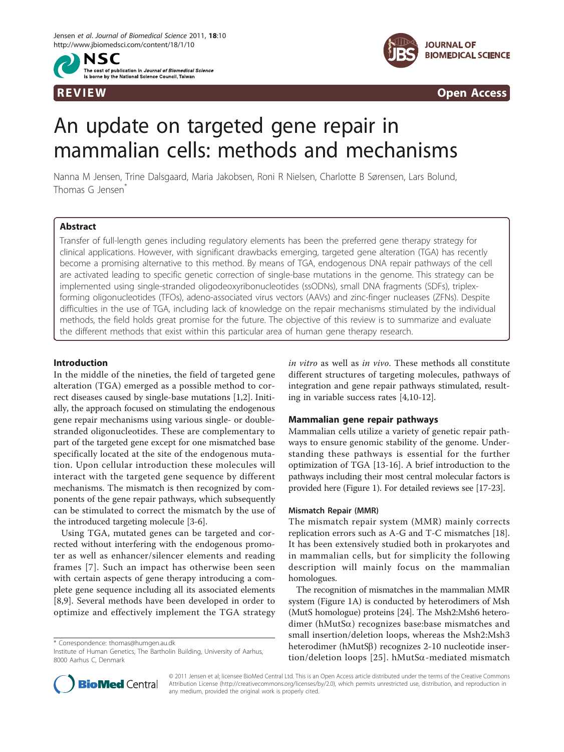NSC The cost of publication in *Journal of Biomedical Science* is borne by the National Science Council Taiwan



**REVIEW CONSIDERING CONSIDERING CONSIDERING CONSIDERING CONSIDERING CONSIDERING CONSIDERING CONSIDERING CONSIDERING CONSIDERING CONSIDERING CONSIDERING CONSIDERING CONSIDERING CONSIDERING CONSIDERING CONSIDERING CONSIDER** 

# An update on targeted gene repair in mammalian cells: methods and mechanisms

Nanna M Jensen, Trine Dalsgaard, Maria Jakobsen, Roni R Nielsen, Charlotte B Sørensen, Lars Bolund, Thomas G Jensen<sup>\*</sup>

# Abstract

Transfer of full-length genes including regulatory elements has been the preferred gene therapy strategy for clinical applications. However, with significant drawbacks emerging, targeted gene alteration (TGA) has recently become a promising alternative to this method. By means of TGA, endogenous DNA repair pathways of the cell are activated leading to specific genetic correction of single-base mutations in the genome. This strategy can be implemented using single-stranded oligodeoxyribonucleotides (ssODNs), small DNA fragments (SDFs), triplexforming oligonucleotides (TFOs), adeno-associated virus vectors (AAVs) and zinc-finger nucleases (ZFNs). Despite difficulties in the use of TGA, including lack of knowledge on the repair mechanisms stimulated by the individual methods, the field holds great promise for the future. The objective of this review is to summarize and evaluate the different methods that exist within this particular area of human gene therapy research.

# Introduction

In the middle of the nineties, the field of targeted gene alteration (TGA) emerged as a possible method to correct diseases caused by single-base mutations [\[1](#page-10-0),[2\]](#page-10-0). Initially, the approach focused on stimulating the endogenous gene repair mechanisms using various single- or doublestranded oligonucleotides. These are complementary to part of the targeted gene except for one mismatched base specifically located at the site of the endogenous mutation. Upon cellular introduction these molecules will interact with the targeted gene sequence by different mechanisms. The mismatch is then recognized by components of the gene repair pathways, which subsequently can be stimulated to correct the mismatch by the use of the introduced targeting molecule [[3](#page-10-0)-[6\]](#page-10-0).

Using TGA, mutated genes can be targeted and corrected without interfering with the endogenous promoter as well as enhancer/silencer elements and reading frames [[7\]](#page-10-0). Such an impact has otherwise been seen with certain aspects of gene therapy introducing a complete gene sequence including all its associated elements [[8,9](#page-10-0)]. Several methods have been developed in order to optimize and effectively implement the TGA strategy

\* Correspondence: [thomas@humgen.au.dk](mailto:thomas@humgen.au.dk)

in vitro as well as in vivo. These methods all constitute different structures of targeting molecules, pathways of integration and gene repair pathways stimulated, resulting in variable success rates [\[4,10-12](#page-10-0)].

# Mammalian gene repair pathways

Mammalian cells utilize a variety of genetic repair pathways to ensure genomic stability of the genome. Understanding these pathways is essential for the further optimization of TGA [\[13](#page-10-0)-[16\]](#page-10-0). A brief introduction to the pathways including their most central molecular factors is provided here (Figure [1](#page-1-0)). For detailed reviews see [[17](#page-10-0)-[23](#page-10-0)].

## Mismatch Repair (MMR)

The mismatch repair system (MMR) mainly corrects replication errors such as A-G and T-C mismatches [\[18](#page-10-0)]. It has been extensively studied both in prokaryotes and in mammalian cells, but for simplicity the following description will mainly focus on the mammalian homologues.

The recognition of mismatches in the mammalian MMR system (Figure [1A](#page-1-0)) is conducted by heterodimers of Msh (MutS homologue) proteins [[24](#page-10-0)]. The Msh2:Msh6 heterodimer (hMutSa) recognizes base:base mismatches and small insertion/deletion loops, whereas the Msh2:Msh3 heterodimer ( $hMutS\beta$ ) recognizes 2-10 nucleotide inser-tion/deletion loops [\[25\]](#page-10-0). hMutS $\alpha$ -mediated mismatch



© 2011 Jensen et al; licensee BioMed Central Ltd. This is an Open Access article distributed under the terms of the Creative Commons Attribution License [\(http://creativecommons.org/licenses/by/2.0](http://creativecommons.org/licenses/by/2.0)), which permits unrestricted use, distribution, and reproduction in any medium, provided the original work is properly cited.

Institute of Human Genetics, The Bartholin Building, University of Aarhus, 8000 Aarhus C, Denmark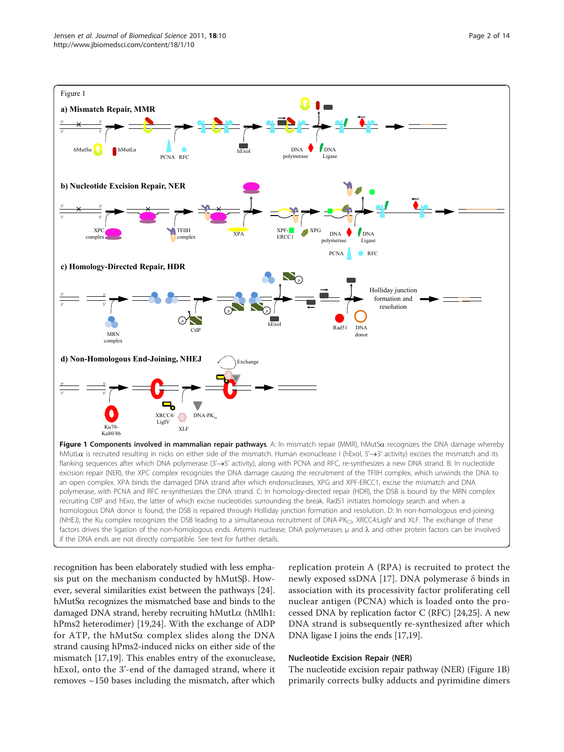<span id="page-1-0"></span>

recognition has been elaborately studied with less emphasis put on the mechanism conducted by hMutS $\beta$ . However, several similarities exist between the pathways [\[24](#page-10-0)]. hMutSa recognizes the mismatched base and binds to the damaged DNA strand, hereby recruiting hMutLa (hMlh1: hPms2 heterodimer) [[19,24](#page-10-0)]. With the exchange of ADP for ATP, the hMutS $\alpha$  complex slides along the DNA strand causing hPms2-induced nicks on either side of the mismatch [\[17,19](#page-10-0)]. This enables entry of the exonuclease, hExoI, onto the 3'-end of the damaged strand, where it removes ~150 bases including the mismatch, after which

replication protein A (RPA) is recruited to protect the newly exposed ssDNA [[17](#page-10-0)]. DNA polymerase δ binds in association with its processivity factor proliferating cell nuclear antigen (PCNA) which is loaded onto the processed DNA by replication factor C (RFC) [\[24,25\]](#page-10-0). A new DNA strand is subsequently re-synthesized after which DNA ligase I joins the ends [[17,19](#page-10-0)].

## Nucleotide Excision Repair (NER)

The nucleotide excision repair pathway (NER) (Figure 1B) primarily corrects bulky adducts and pyrimidine dimers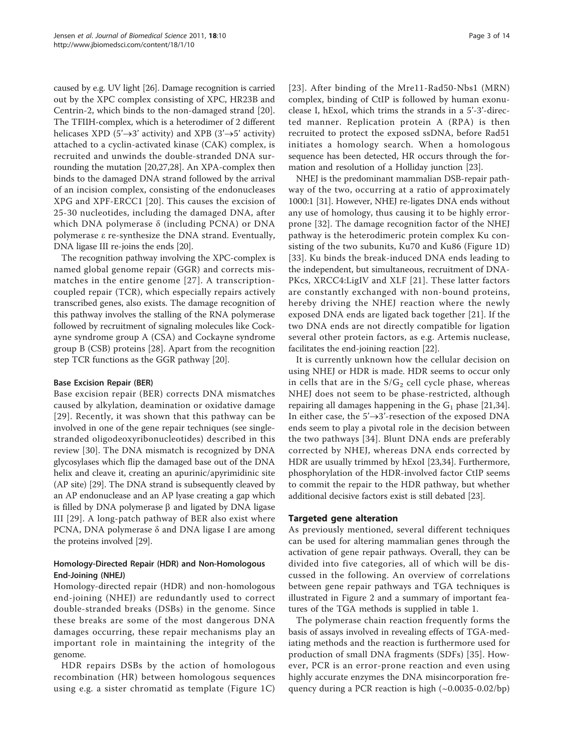caused by e.g. UV light [[26](#page-10-0)]. Damage recognition is carried out by the XPC complex consisting of XPC, HR23B and Centrin-2, which binds to the non-damaged strand [\[20](#page-10-0)]. The TFIIH-complex, which is a heterodimer of 2 different helicases XPD (5' $\rightarrow$ 3' activity) and XPB (3' $\rightarrow$ 5' activity) attached to a cyclin-activated kinase (CAK) complex, is recruited and unwinds the double-stranded DNA surrounding the mutation [[20,27,28](#page-10-0)]. An XPA-complex then binds to the damaged DNA strand followed by the arrival of an incision complex, consisting of the endonucleases XPG and XPF-ERCC1 [[20](#page-10-0)]. This causes the excision of 25-30 nucleotides, including the damaged DNA, after which DNA polymerase δ (including PCNA) or DNA polymerase ε re-synthesize the DNA strand. Eventually, DNA ligase III re-joins the ends [\[20\]](#page-10-0).

The recognition pathway involving the XPC-complex is named global genome repair (GGR) and corrects mismatches in the entire genome [[27](#page-10-0)]. A transcriptioncoupled repair (TCR), which especially repairs actively transcribed genes, also exists. The damage recognition of this pathway involves the stalling of the RNA polymerase followed by recruitment of signaling molecules like Cockayne syndrome group A (CSA) and Cockayne syndrome group B (CSB) proteins [[28\]](#page-10-0). Apart from the recognition step TCR functions as the GGR pathway [\[20](#page-10-0)].

# Base Excision Repair (BER)

Base excision repair (BER) corrects DNA mismatches caused by alkylation, deamination or oxidative damage [[29\]](#page-10-0). Recently, it was shown that this pathway can be involved in one of the gene repair techniques (see singlestranded oligodeoxyribonucleotides) described in this review [\[30](#page-10-0)]. The DNA mismatch is recognized by DNA glycosylases which flip the damaged base out of the DNA helix and cleave it, creating an apurinic/apyrimidinic site (AP site) [\[29\]](#page-10-0). The DNA strand is subsequently cleaved by an AP endonuclease and an AP lyase creating a gap which is filled by DNA polymerase  $\beta$  and ligated by DNA ligase III [[29\]](#page-10-0). A long-patch pathway of BER also exist where PCNA, DNA polymerase δ and DNA ligase I are among the proteins involved [\[29\]](#page-10-0).

# Homology-Directed Repair (HDR) and Non-Homologous End-Joining (NHEJ)

Homology-directed repair (HDR) and non-homologous end-joining (NHEJ) are redundantly used to correct double-stranded breaks (DSBs) in the genome. Since these breaks are some of the most dangerous DNA damages occurring, these repair mechanisms play an important role in maintaining the integrity of the genome.

HDR repairs DSBs by the action of homologous recombination (HR) between homologous sequences using e.g. a sister chromatid as template (Figure [1C](#page-1-0)) [[23\]](#page-10-0). After binding of the Mre11-Rad50-Nbs1 (MRN) complex, binding of CtIP is followed by human exonuclease I, hExoI, which trims the strands in a 5'-3'-directed manner. Replication protein A (RPA) is then recruited to protect the exposed ssDNA, before Rad51 initiates a homology search. When a homologous sequence has been detected, HR occurs through the formation and resolution of a Holliday junction [\[23](#page-10-0)].

NHEJ is the predominant mammalian DSB-repair pathway of the two, occurring at a ratio of approximately 1000:1 [\[31\]](#page-11-0). However, NHEJ re-ligates DNA ends without any use of homology, thus causing it to be highly errorprone [[32\]](#page-11-0). The damage recognition factor of the NHEJ pathway is the heterodimeric protein complex Ku consisting of the two subunits, Ku70 and Ku86 (Figure [1D](#page-1-0)) [[33](#page-11-0)]. Ku binds the break-induced DNA ends leading to the independent, but simultaneous, recruitment of DNA-PKcs, XRCC4:LigIV and XLF [[21](#page-10-0)]. These latter factors are constantly exchanged with non-bound proteins, hereby driving the NHEJ reaction where the newly exposed DNA ends are ligated back together [[21\]](#page-10-0). If the two DNA ends are not directly compatible for ligation several other protein factors, as e.g. Artemis nuclease, facilitates the end-joining reaction [\[22\]](#page-10-0).

It is currently unknown how the cellular decision on using NHEJ or HDR is made. HDR seems to occur only in cells that are in the  $S/G_2$  cell cycle phase, whereas NHEJ does not seem to be phase-restricted, although repairing all damages happening in the  $G_1$  phase [\[21](#page-10-0)[,34](#page-11-0)]. In either case, the  $5' \rightarrow 3'$ -resection of the exposed DNA ends seem to play a pivotal role in the decision between the two pathways [[34](#page-11-0)]. Blunt DNA ends are preferably corrected by NHEJ, whereas DNA ends corrected by HDR are usually trimmed by hExoI [[23](#page-10-0),[34](#page-11-0)]. Furthermore, phosphorylation of the HDR-involved factor CtIP seems to commit the repair to the HDR pathway, but whether additional decisive factors exist is still debated [\[23](#page-10-0)].

# Targeted gene alteration

As previously mentioned, several different techniques can be used for altering mammalian genes through the activation of gene repair pathways. Overall, they can be divided into five categories, all of which will be discussed in the following. An overview of correlations between gene repair pathways and TGA techniques is illustrated in Figure [2](#page-3-0) and a summary of important features of the TGA methods is supplied in table [1](#page-4-0).

The polymerase chain reaction frequently forms the basis of assays involved in revealing effects of TGA-mediating methods and the reaction is furthermore used for production of small DNA fragments (SDFs) [[35](#page-11-0)]. However, PCR is an error-prone reaction and even using highly accurate enzymes the DNA misincorporation frequency during a PCR reaction is high (~0.0035-0.02/bp)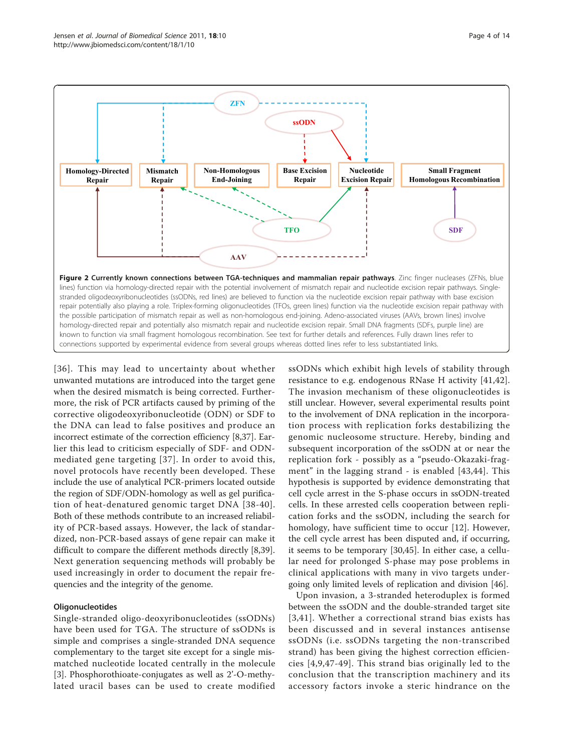<span id="page-3-0"></span>

[[36](#page-11-0)]. This may lead to uncertainty about whether unwanted mutations are introduced into the target gene when the desired mismatch is being corrected. Furthermore, the risk of PCR artifacts caused by priming of the corrective oligodeoxyribonucleotide (ODN) or SDF to the DNA can lead to false positives and produce an incorrect estimate of the correction efficiency [\[8](#page-10-0)[,37](#page-11-0)]. Earlier this lead to criticism especially of SDF- and ODNmediated gene targeting [[37](#page-11-0)]. In order to avoid this, novel protocols have recently been developed. These include the use of analytical PCR-primers located outside the region of SDF/ODN-homology as well as gel purification of heat-denatured genomic target DNA [[38](#page-11-0)-[40\]](#page-11-0). Both of these methods contribute to an increased reliability of PCR-based assays. However, the lack of standardized, non-PCR-based assays of gene repair can make it difficult to compare the different methods directly [\[8](#page-10-0)[,39](#page-11-0)]. Next generation sequencing methods will probably be used increasingly in order to document the repair frequencies and the integrity of the genome.

# **Oligonucleotides**

Single-stranded oligo-deoxyribonucleotides (ssODNs) have been used for TGA. The structure of ssODNs is simple and comprises a single-stranded DNA sequence complementary to the target site except for a single mismatched nucleotide located centrally in the molecule [[3\]](#page-10-0). Phosphorothioate-conjugates as well as 2'-O-methylated uracil bases can be used to create modified

ssODNs which exhibit high levels of stability through resistance to e.g. endogenous RNase H activity [[41,42](#page-11-0)]. The invasion mechanism of these oligonucleotides is still unclear. However, several experimental results point to the involvement of DNA replication in the incorporation process with replication forks destabilizing the genomic nucleosome structure. Hereby, binding and subsequent incorporation of the ssODN at or near the replication fork - possibly as a "pseudo-Okazaki-fragment" in the lagging strand - is enabled [[43](#page-11-0),[44](#page-11-0)]. This hypothesis is supported by evidence demonstrating that cell cycle arrest in the S-phase occurs in ssODN-treated cells. In these arrested cells cooperation between replication forks and the ssODN, including the search for homology, have sufficient time to occur [\[12](#page-10-0)]. However, the cell cycle arrest has been disputed and, if occurring, it seems to be temporary [\[30](#page-10-0),[45](#page-11-0)]. In either case, a cellular need for prolonged S-phase may pose problems in clinical applications with many in vivo targets undergoing only limited levels of replication and division [[46\]](#page-11-0).

Upon invasion, a 3-stranded heteroduplex is formed between the ssODN and the double-stranded target site [[3,](#page-10-0)[41\]](#page-11-0). Whether a correctional strand bias exists has been discussed and in several instances antisense ssODNs (i.e. ssODNs targeting the non-transcribed strand) has been giving the highest correction efficiencies [[4](#page-10-0),[9,](#page-10-0)[47-49\]](#page-11-0). This strand bias originally led to the conclusion that the transcription machinery and its accessory factors invoke a steric hindrance on the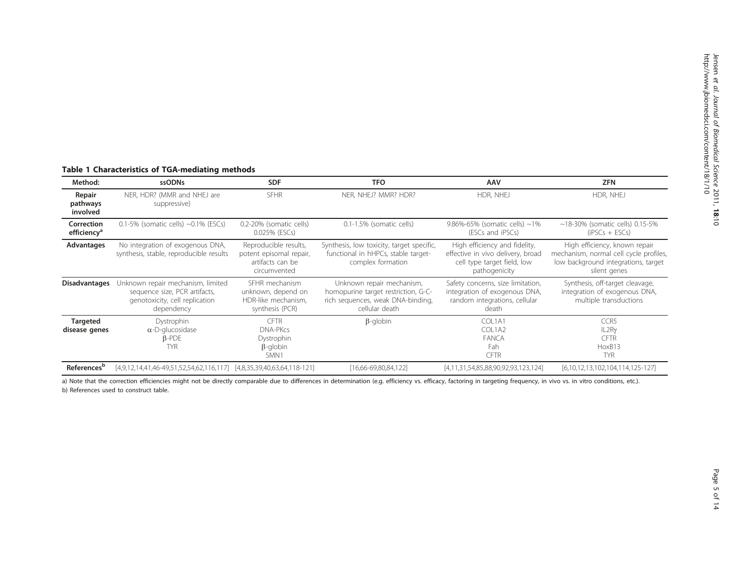# <span id="page-4-0"></span>Table 1 Characteristics of TGA-mediating methods

| Method:                               | ssODNs                                                                                                             | <b>SDF</b>                                                                           | <b>TFO</b>                                                                                                              | AAV                                                                                                                | <b>ZFN</b>                                                                                                                     |
|---------------------------------------|--------------------------------------------------------------------------------------------------------------------|--------------------------------------------------------------------------------------|-------------------------------------------------------------------------------------------------------------------------|--------------------------------------------------------------------------------------------------------------------|--------------------------------------------------------------------------------------------------------------------------------|
| Repair<br>pathways<br>involved        | NER, HDR? (MMR and NHEJ are<br>suppressive)                                                                        | <b>SFHR</b>                                                                          | NER, NHEJ? MMR? HDR?                                                                                                    | HDR, NHEJ                                                                                                          | HDR, NHEJ                                                                                                                      |
| Correction<br>efficiency <sup>a</sup> | $0.1-5%$ (somatic cells) $\sim 0.1\%$ (ESCs)                                                                       | 0.2-20% (somatic cells)<br>0.025% (ESCs)                                             | 0.1-1.5% (somatic cells)                                                                                                | 9.86%-65% (somatic cells) $\sim$ 1%<br>(ESCs and iPSCs)                                                            | $\sim$ 18-30% (somatic cells) 0.15-5%<br>$(FSCs + ESCs)$                                                                       |
| Advantages                            | No integration of exogenous DNA,<br>synthesis, stable, reproducible results                                        | Reproducible results,<br>potent episomal repair,<br>artifacts can be<br>circumvented | Synthesis, low toxicity, target specific,<br>functional in hHPCs, stable target-<br>complex formation                   | High efficiency and fidelity,<br>effective in vivo delivery, broad<br>cell type target field, low<br>pathogenicity | High efficiency, known repair<br>mechanism, normal cell cycle profiles,<br>low background integrations, target<br>silent genes |
| <b>Disadvantages</b>                  | Unknown repair mechanism, limited<br>sequence size, PCR artifacts,<br>genotoxicity, cell replication<br>dependency | SFHR mechanism<br>unknown, depend on<br>HDR-like mechanism,<br>synthesis (PCR)       | Unknown repair mechanism,<br>homopurine target restriction, G-C-<br>rich sequences, weak DNA-binding,<br>cellular death | Safety concerns, size limitation,<br>integration of exogenous DNA,<br>random integrations, cellular<br>death       | Synthesis, off-target cleavage,<br>integration of exogenous DNA,<br>multiple transductions                                     |
| <b>Targeted</b><br>disease genes      | Dystrophin<br>$\alpha$ -D-glucosidase<br>$\beta$ -PDE<br><b>TYR</b>                                                | <b>CFTR</b><br>DNA-PKcs<br>Dystrophin<br>$\beta$ -globin<br>SMN1                     | $\beta$ -globin                                                                                                         | COL1A1<br>COL1A2<br>FANCA<br>Fah<br><b>CFTR</b>                                                                    | CCR5<br>IL2Ry<br><b>CFTR</b><br>HoxB13<br><b>TYR</b>                                                                           |
| References <sup>b</sup>               | $[4,9,12,14,41,46-49,51,52,54,62,116,117]$ $[4,8,35,39,40,63,64,118-121]$                                          |                                                                                      | [16,66-69,80,84,122]                                                                                                    | [4,11,31,54,85,88,90,92,93,123,124]                                                                                | [6,10,12,13,102,104,114,125-127]                                                                                               |

a) Note that the correction efficiencies might not be directly comparable due to differences in determination (e.g. efficiency vs. efficacy, factoring in targeting frequency, in vivo vs. in vitro conditions, etc.). b) References used to construct table.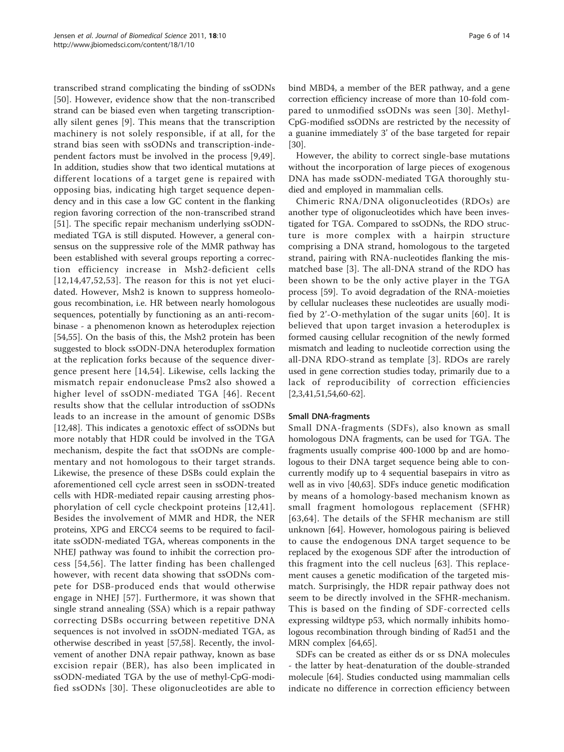transcribed strand complicating the binding of ssODNs [[50](#page-11-0)]. However, evidence show that the non-transcribed strand can be biased even when targeting transcriptionally silent genes [[9\]](#page-10-0). This means that the transcription machinery is not solely responsible, if at all, for the strand bias seen with ssODNs and transcription-independent factors must be involved in the process [[9,](#page-10-0)[49](#page-11-0)]. In addition, studies show that two identical mutations at different locations of a target gene is repaired with opposing bias, indicating high target sequence dependency and in this case a low GC content in the flanking region favoring correction of the non-transcribed strand [[51\]](#page-11-0). The specific repair mechanism underlying ssODNmediated TGA is still disputed. However, a general consensus on the suppressive role of the MMR pathway has been established with several groups reporting a correction efficiency increase in Msh2-deficient cells  $[12,14,47,52,53]$  $[12,14,47,52,53]$  $[12,14,47,52,53]$  $[12,14,47,52,53]$  $[12,14,47,52,53]$  $[12,14,47,52,53]$  $[12,14,47,52,53]$  $[12,14,47,52,53]$ . The reason for this is not yet elucidated. However, Msh2 is known to suppress homeologous recombination, i.e. HR between nearly homologous sequences, potentially by functioning as an anti-recombinase - a phenomenon known as heteroduplex rejection [[54,55\]](#page-11-0). On the basis of this, the Msh2 protein has been suggested to block ssODN-DNA heteroduplex formation at the replication forks because of the sequence divergence present here [[14,](#page-10-0)[54\]](#page-11-0). Likewise, cells lacking the mismatch repair endonuclease Pms2 also showed a higher level of ssODN-mediated TGA [[46\]](#page-11-0). Recent results show that the cellular introduction of ssODNs leads to an increase in the amount of genomic DSBs [[12,](#page-10-0)[48\]](#page-11-0). This indicates a genotoxic effect of ssODNs but more notably that HDR could be involved in the TGA mechanism, despite the fact that ssODNs are complementary and not homologous to their target strands. Likewise, the presence of these DSBs could explain the aforementioned cell cycle arrest seen in ssODN-treated cells with HDR-mediated repair causing arresting phosphorylation of cell cycle checkpoint proteins [[12](#page-10-0),[41\]](#page-11-0). Besides the involvement of MMR and HDR, the NER proteins, XPG and ERCC4 seems to be required to facilitate ssODN-mediated TGA, whereas components in the NHEJ pathway was found to inhibit the correction process [[54,56](#page-11-0)]. The latter finding has been challenged however, with recent data showing that ssODNs compete for DSB-produced ends that would otherwise engage in NHEJ [[57](#page-11-0)]. Furthermore, it was shown that single strand annealing (SSA) which is a repair pathway correcting DSBs occurring between repetitive DNA sequences is not involved in ssODN-mediated TGA, as otherwise described in yeast [[57](#page-11-0),[58](#page-11-0)]. Recently, the involvement of another DNA repair pathway, known as base excision repair (BER), has also been implicated in ssODN-mediated TGA by the use of methyl-CpG-modified ssODNs [[30\]](#page-10-0). These oligonucleotides are able to bind MBD4, a member of the BER pathway, and a gene correction efficiency increase of more than 10-fold compared to unmodified ssODNs was seen [[30\]](#page-10-0). Methyl-CpG-modified ssODNs are restricted by the necessity of a guanine immediately 3' of the base targeted for repair [[30\]](#page-10-0).

However, the ability to correct single-base mutations without the incorporation of large pieces of exogenous DNA has made ssODN-mediated TGA thoroughly studied and employed in mammalian cells.

Chimeric RNA/DNA oligonucleotides (RDOs) are another type of oligonucleotides which have been investigated for TGA. Compared to ssODNs, the RDO structure is more complex with a hairpin structure comprising a DNA strand, homologous to the targeted strand, pairing with RNA-nucleotides flanking the mismatched base [[3\]](#page-10-0). The all-DNA strand of the RDO has been shown to be the only active player in the TGA process [[59\]](#page-11-0). To avoid degradation of the RNA-moieties by cellular nucleases these nucleotides are usually modified by 2'-O-methylation of the sugar units [[60\]](#page-11-0). It is believed that upon target invasion a heteroduplex is formed causing cellular recognition of the newly formed mismatch and leading to nucleotide correction using the all-DNA RDO-strand as template [[3](#page-10-0)]. RDOs are rarely used in gene correction studies today, primarily due to a lack of reproducibility of correction efficiencies [[2,3,](#page-10-0)[41,51,54](#page-11-0),[60](#page-11-0)-[62\]](#page-11-0).

## Small DNA-fragments

Small DNA-fragments (SDFs), also known as small homologous DNA fragments, can be used for TGA. The fragments usually comprise 400-1000 bp and are homologous to their DNA target sequence being able to concurrently modify up to 4 sequential basepairs in vitro as well as in vivo [\[40,63\]](#page-11-0). SDFs induce genetic modification by means of a homology-based mechanism known as small fragment homologous replacement (SFHR) [[63,64\]](#page-11-0). The details of the SFHR mechanism are still unknown [[64](#page-11-0)]. However, homologous pairing is believed to cause the endogenous DNA target sequence to be replaced by the exogenous SDF after the introduction of this fragment into the cell nucleus [[63](#page-11-0)]. This replacement causes a genetic modification of the targeted mismatch. Surprisingly, the HDR repair pathway does not seem to be directly involved in the SFHR-mechanism. This is based on the finding of SDF-corrected cells expressing wildtype p53, which normally inhibits homologous recombination through binding of Rad51 and the MRN complex [\[64,65](#page-11-0)].

SDFs can be created as either ds or ss DNA molecules - the latter by heat-denaturation of the double-stranded molecule [[64\]](#page-11-0). Studies conducted using mammalian cells indicate no difference in correction efficiency between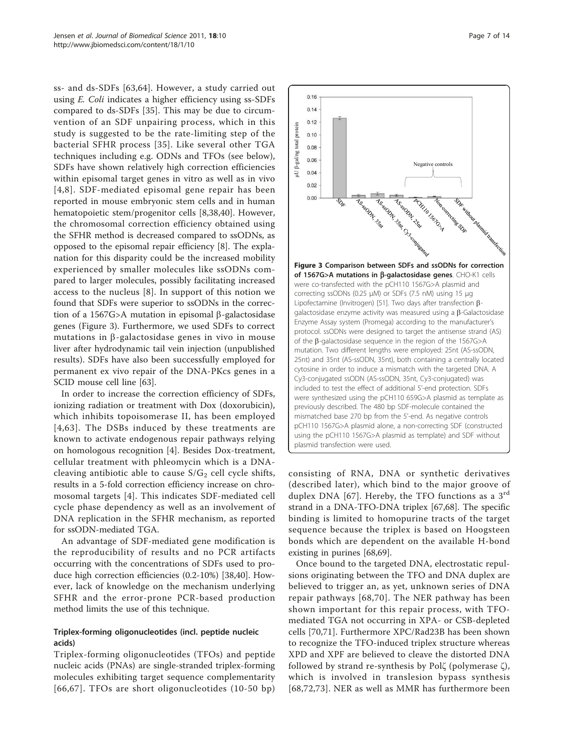ss- and ds-SDFs [[63](#page-11-0),[64\]](#page-11-0). However, a study carried out using E. Coli indicates a higher efficiency using ss-SDFs compared to ds-SDFs [[35\]](#page-11-0). This may be due to circumvention of an SDF unpairing process, which in this study is suggested to be the rate-limiting step of the bacterial SFHR process [[35\]](#page-11-0). Like several other TGA techniques including e.g. ODNs and TFOs (see below), SDFs have shown relatively high correction efficiencies within episomal target genes in vitro as well as in vivo [[4,8\]](#page-10-0). SDF-mediated episomal gene repair has been reported in mouse embryonic stem cells and in human hematopoietic stem/progenitor cells [[8](#page-10-0),[38,40\]](#page-11-0). However, the chromosomal correction efficiency obtained using the SFHR method is decreased compared to ssODNs, as opposed to the episomal repair efficiency [[8\]](#page-10-0). The explanation for this disparity could be the increased mobility experienced by smaller molecules like ssODNs compared to larger molecules, possibly facilitating increased access to the nucleus [\[8](#page-10-0)]. In support of this notion we found that SDFs were superior to ssODNs in the correction of a 1567G>A mutation in episomal  $\beta$ -galactosidase genes (Figure 3). Furthermore, we used SDFs to correct mutations in  $\beta$ -galactosidase genes in vivo in mouse liver after hydrodynamic tail vein injection (unpublished results). SDFs have also been successfully employed for permanent ex vivo repair of the DNA-PKcs genes in a SCID mouse cell line [\[63\]](#page-11-0).

In order to increase the correction efficiency of SDFs, ionizing radiation or treatment with Dox (doxorubicin), which inhibits topoisomerase II, has been employed [[4,](#page-10-0)[63](#page-11-0)]. The DSBs induced by these treatments are known to activate endogenous repair pathways relying on homologous recognition [\[4](#page-10-0)]. Besides Dox-treatment, cellular treatment with phleomycin which is a DNAcleaving antibiotic able to cause  $S/G_2$  cell cycle shifts, results in a 5-fold correction efficiency increase on chromosomal targets [\[4](#page-10-0)]. This indicates SDF-mediated cell cycle phase dependency as well as an involvement of DNA replication in the SFHR mechanism, as reported for ssODN-mediated TGA.

An advantage of SDF-mediated gene modification is the reproducibility of results and no PCR artifacts occurring with the concentrations of SDFs used to produce high correction efficiencies (0.2-10%) [\[38,40](#page-11-0)]. However, lack of knowledge on the mechanism underlying SFHR and the error-prone PCR-based production method limits the use of this technique.

# Triplex-forming oligonucleotides (incl. peptide nucleic acids)

Triplex-forming oligonucleotides (TFOs) and peptide nucleic acids (PNAs) are single-stranded triplex-forming molecules exhibiting target sequence complementarity [[66,67](#page-11-0)]. TFOs are short oligonucleotides (10-50 bp)



consisting of RNA, DNA or synthetic derivatives (described later), which bind to the major groove of duplex DNA [[67](#page-11-0)]. Hereby, the TFO functions as a  $3<sup>rd</sup>$ strand in a DNA-TFO-DNA triplex [\[67,68](#page-11-0)]. The specific binding is limited to homopurine tracts of the target sequence because the triplex is based on Hoogsteen bonds which are dependent on the available H-bond existing in purines [[68,69\]](#page-11-0).

Once bound to the targeted DNA, electrostatic repulsions originating between the TFO and DNA duplex are believed to trigger an, as yet, unknown series of DNA repair pathways [[68,70](#page-11-0)]. The NER pathway has been shown important for this repair process, with TFOmediated TGA not occurring in XPA- or CSB-depleted cells [[70,71](#page-11-0)]. Furthermore XPC/Rad23B has been shown to recognize the TFO-induced triplex structure whereas XPD and XPF are believed to cleave the distorted DNA followed by strand re-synthesis by Polζ (polymerase ζ), which is involved in translesion bypass synthesis [[68](#page-11-0),[72,73\]](#page-11-0). NER as well as MMR has furthermore been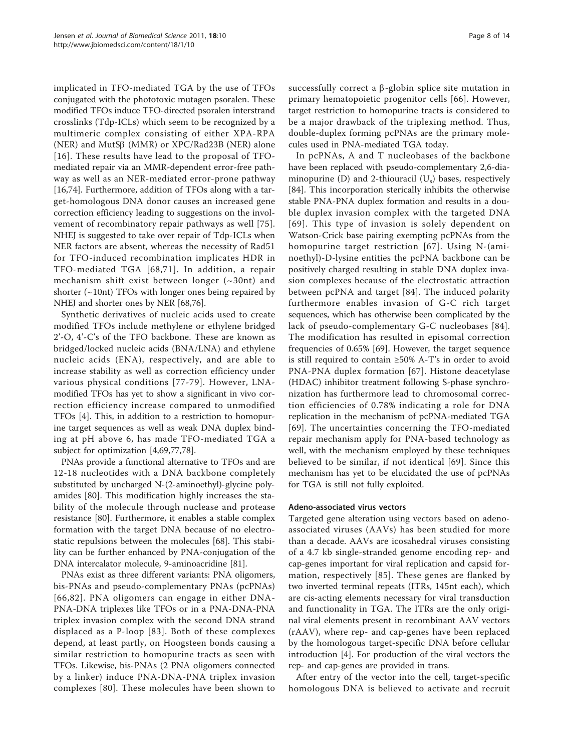implicated in TFO-mediated TGA by the use of TFOs conjugated with the phototoxic mutagen psoralen. These modified TFOs induce TFO-directed psoralen interstrand crosslinks (Tdp-ICLs) which seem to be recognized by a multimeric complex consisting of either XPA-RPA (NER) and MutS $\beta$  (MMR) or XPC/Rad23B (NER) alone [[16\]](#page-10-0). These results have lead to the proposal of TFOmediated repair via an MMR-dependent error-free pathway as well as an NER-mediated error-prone pathway [[16,](#page-10-0)[74\]](#page-11-0). Furthermore, addition of TFOs along with a target-homologous DNA donor causes an increased gene correction efficiency leading to suggestions on the involvement of recombinatory repair pathways as well [[75\]](#page-11-0). NHEJ is suggested to take over repair of Tdp-ICLs when NER factors are absent, whereas the necessity of Rad51 for TFO-induced recombination implicates HDR in TFO-mediated TGA [[68,71\]](#page-11-0). In addition, a repair mechanism shift exist between longer (~30nt) and shorter  $(\sim 10nt)$  TFOs with longer ones being repaired by NHEJ and shorter ones by NER [[68](#page-11-0),[76](#page-11-0)].

Synthetic derivatives of nucleic acids used to create modified TFOs include methylene or ethylene bridged 2'-O, 4'-C's of the TFO backbone. These are known as bridged/locked nucleic acids (BNA/LNA) and ethylene nucleic acids (ENA), respectively, and are able to increase stability as well as correction efficiency under various physical conditions [[77](#page-12-0)-[79\]](#page-12-0). However, LNAmodified TFOs has yet to show a significant in vivo correction efficiency increase compared to unmodified TFOs [\[4](#page-10-0)]. This, in addition to a restriction to homopurine target sequences as well as weak DNA duplex binding at pH above 6, has made TFO-mediated TGA a subject for optimization [\[4](#page-10-0)[,69,](#page-11-0)[77,78\]](#page-12-0).

PNAs provide a functional alternative to TFOs and are 12-18 nucleotides with a DNA backbone completely substituted by uncharged N-(2-aminoethyl)-glycine polyamides [\[80](#page-12-0)]. This modification highly increases the stability of the molecule through nuclease and protease resistance [\[80\]](#page-12-0). Furthermore, it enables a stable complex formation with the target DNA because of no electrostatic repulsions between the molecules [[68\]](#page-11-0). This stability can be further enhanced by PNA-conjugation of the DNA intercalator molecule, 9-aminoacridine [\[81\]](#page-12-0).

PNAs exist as three different variants: PNA oligomers, bis-PNAs and pseudo-complementary PNAs (pcPNAs) [[66](#page-11-0),[82](#page-12-0)]. PNA oligomers can engage in either DNA-PNA-DNA triplexes like TFOs or in a PNA-DNA-PNA triplex invasion complex with the second DNA strand displaced as a P-loop [[83\]](#page-12-0). Both of these complexes depend, at least partly, on Hoogsteen bonds causing a similar restriction to homopurine tracts as seen with TFOs. Likewise, bis-PNAs (2 PNA oligomers connected by a linker) induce PNA-DNA-PNA triplex invasion complexes [[80\]](#page-12-0). These molecules have been shown to successfully correct a  $\beta$ -globin splice site mutation in primary hematopoietic progenitor cells [\[66](#page-11-0)]. However, target restriction to homopurine tracts is considered to be a major drawback of the triplexing method. Thus, double-duplex forming pcPNAs are the primary molecules used in PNA-mediated TGA today.

In pcPNAs, A and T nucleobases of the backbone have been replaced with pseudo-complementary 2,6-diaminopurine (D) and 2-thiouracil  $(U_s)$  bases, respectively [[84\]](#page-12-0). This incorporation sterically inhibits the otherwise stable PNA-PNA duplex formation and results in a double duplex invasion complex with the targeted DNA [[69](#page-11-0)]. This type of invasion is solely dependent on Watson-Crick base pairing exempting pcPNAs from the homopurine target restriction [[67](#page-11-0)]. Using N-(aminoethyl)-D-lysine entities the pcPNA backbone can be positively charged resulting in stable DNA duplex invasion complexes because of the electrostatic attraction between pcPNA and target [[84\]](#page-12-0). The induced polarity furthermore enables invasion of G-C rich target sequences, which has otherwise been complicated by the lack of pseudo-complementary G-C nucleobases [[84](#page-12-0)]. The modification has resulted in episomal correction frequencies of 0.65% [[69\]](#page-11-0). However, the target sequence is still required to contain ≥50% A-T's in order to avoid PNA-PNA duplex formation [[67\]](#page-11-0). Histone deacetylase (HDAC) inhibitor treatment following S-phase synchronization has furthermore lead to chromosomal correction efficiencies of 0.78% indicating a role for DNA replication in the mechanism of pcPNA-mediated TGA [[69](#page-11-0)]. The uncertainties concerning the TFO-mediated repair mechanism apply for PNA-based technology as well, with the mechanism employed by these techniques believed to be similar, if not identical [[69\]](#page-11-0). Since this mechanism has yet to be elucidated the use of pcPNAs for TGA is still not fully exploited.

## Adeno-associated virus vectors

Targeted gene alteration using vectors based on adenoassociated viruses (AAVs) has been studied for more than a decade. AAVs are icosahedral viruses consisting of a 4.7 kb single-stranded genome encoding rep- and cap-genes important for viral replication and capsid formation, respectively [\[85\]](#page-12-0). These genes are flanked by two inverted terminal repeats (ITRs, 145nt each), which are cis-acting elements necessary for viral transduction and functionality in TGA. The ITRs are the only original viral elements present in recombinant AAV vectors (rAAV), where rep- and cap-genes have been replaced by the homologous target-specific DNA before cellular introduction [\[4](#page-10-0)]. For production of the viral vectors the rep- and cap-genes are provided in trans.

After entry of the vector into the cell, target-specific homologous DNA is believed to activate and recruit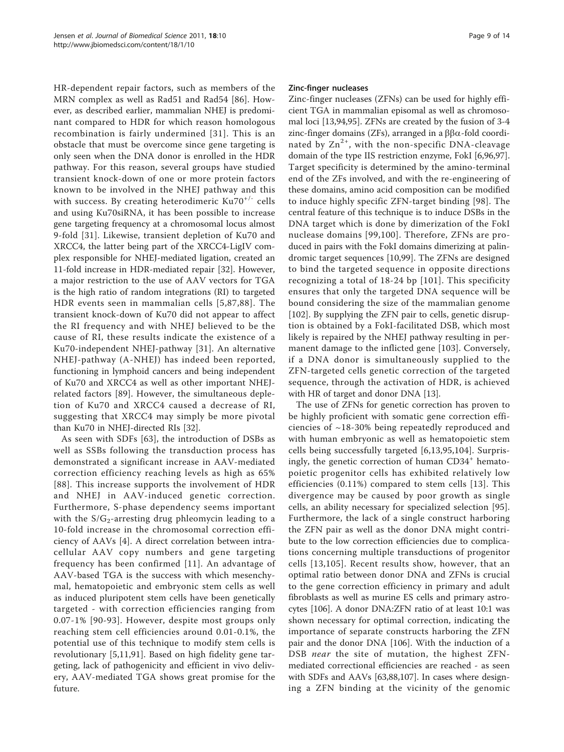HR-dependent repair factors, such as members of the MRN complex as well as Rad51 and Rad54 [[86](#page-12-0)]. However, as described earlier, mammalian NHEJ is predominant compared to HDR for which reason homologous recombination is fairly undermined [[31\]](#page-11-0). This is an obstacle that must be overcome since gene targeting is only seen when the DNA donor is enrolled in the HDR pathway. For this reason, several groups have studied transient knock-down of one or more protein factors known to be involved in the NHEJ pathway and this with success. By creating heterodimeric Ku70<sup>+/-</sup> cells and using Ku70siRNA, it has been possible to increase gene targeting frequency at a chromosomal locus almost 9-fold [\[31\]](#page-11-0). Likewise, transient depletion of Ku70 and XRCC4, the latter being part of the XRCC4-LigIV complex responsible for NHEJ-mediated ligation, created an 11-fold increase in HDR-mediated repair [\[32](#page-11-0)]. However, a major restriction to the use of AAV vectors for TGA is the high ratio of random integrations (RI) to targeted HDR events seen in mammalian cells [[5](#page-10-0),[87,88\]](#page-12-0). The transient knock-down of Ku70 did not appear to affect the RI frequency and with NHEJ believed to be the cause of RI, these results indicate the existence of a Ku70-independent NHEJ-pathway [[31](#page-11-0)]. An alternative NHEJ-pathway (A-NHEJ) has indeed been reported, functioning in lymphoid cancers and being independent of Ku70 and XRCC4 as well as other important NHEJrelated factors [[89\]](#page-12-0). However, the simultaneous depletion of Ku70 and XRCC4 caused a decrease of RI, suggesting that XRCC4 may simply be more pivotal than Ku70 in NHEJ-directed RIs [[32](#page-11-0)].

As seen with SDFs [[63](#page-11-0)], the introduction of DSBs as well as SSBs following the transduction process has demonstrated a significant increase in AAV-mediated correction efficiency reaching levels as high as 65% [[88\]](#page-12-0). This increase supports the involvement of HDR and NHEJ in AAV-induced genetic correction. Furthermore, S-phase dependency seems important with the  $S/G_2$ -arresting drug phleomycin leading to a 10-fold increase in the chromosomal correction efficiency of AAVs [\[4](#page-10-0)]. A direct correlation between intracellular AAV copy numbers and gene targeting frequency has been confirmed [[11\]](#page-10-0). An advantage of AAV-based TGA is the success with which mesenchymal, hematopoietic and embryonic stem cells as well as induced pluripotent stem cells have been genetically targeted - with correction efficiencies ranging from 0.07-1% [[90](#page-12-0)-[93](#page-12-0)]. However, despite most groups only reaching stem cell efficiencies around 0.01-0.1%, the potential use of this technique to modify stem cells is revolutionary [[5,11](#page-10-0)[,91](#page-12-0)]. Based on high fidelity gene targeting, lack of pathogenicity and efficient in vivo delivery, AAV-mediated TGA shows great promise for the future.

## Zinc-finger nucleases

Zinc-finger nucleases (ZFNs) can be used for highly efficient TGA in mammalian episomal as well as chromosomal loci [\[13](#page-10-0)[,94,95](#page-12-0)]. ZFNs are created by the fusion of 3-4 zinc-finger domains (ZFs), arranged in a  $\beta\beta\alpha$ -fold coordinated by  $Zn^{2+}$ , with the non-specific DNA-cleavage domain of the type IIS restriction enzyme, FokI [\[6](#page-10-0)[,96,97](#page-12-0)]. Target specificity is determined by the amino-terminal end of the ZFs involved, and with the re-engineering of these domains, amino acid composition can be modified to induce highly specific ZFN-target binding [[98](#page-12-0)]. The central feature of this technique is to induce DSBs in the DNA target which is done by dimerization of the FokI nuclease domains [[99,100\]](#page-12-0). Therefore, ZFNs are produced in pairs with the FokI domains dimerizing at palindromic target sequences [[10,](#page-10-0)[99\]](#page-12-0). The ZFNs are designed to bind the targeted sequence in opposite directions recognizing a total of 18-24 bp [[101](#page-12-0)]. This specificity ensures that only the targeted DNA sequence will be bound considering the size of the mammalian genome [[102\]](#page-12-0). By supplying the ZFN pair to cells, genetic disruption is obtained by a FokI-facilitated DSB, which most likely is repaired by the NHEJ pathway resulting in permanent damage to the inflicted gene [[103](#page-12-0)]. Conversely, if a DNA donor is simultaneously supplied to the ZFN-targeted cells genetic correction of the targeted sequence, through the activation of HDR, is achieved with HR of target and donor DNA [\[13](#page-10-0)].

The use of ZFNs for genetic correction has proven to be highly proficient with somatic gene correction efficiencies of ~18-30% being repeatedly reproduced and with human embryonic as well as hematopoietic stem cells being successfully targeted [[6,13](#page-10-0),[95,104](#page-12-0)]. Surprisingly, the genetic correction of human CD34<sup>+</sup> hematopoietic progenitor cells has exhibited relatively low efficiencies (0.11%) compared to stem cells [[13](#page-10-0)]. This divergence may be caused by poor growth as single cells, an ability necessary for specialized selection [[95](#page-12-0)]. Furthermore, the lack of a single construct harboring the ZFN pair as well as the donor DNA might contribute to the low correction efficiencies due to complications concerning multiple transductions of progenitor cells [[13,](#page-10-0)[105](#page-12-0)]. Recent results show, however, that an optimal ratio between donor DNA and ZFNs is crucial to the gene correction efficiency in primary and adult fibroblasts as well as murine ES cells and primary astrocytes [\[106\]](#page-12-0). A donor DNA:ZFN ratio of at least 10:1 was shown necessary for optimal correction, indicating the importance of separate constructs harboring the ZFN pair and the donor DNA [\[106](#page-12-0)]. With the induction of a DSB near the site of mutation, the highest ZFNmediated correctional efficiencies are reached - as seen with SDFs and AAVs [[63](#page-11-0),[88](#page-12-0),[107](#page-12-0)]. In cases where designing a ZFN binding at the vicinity of the genomic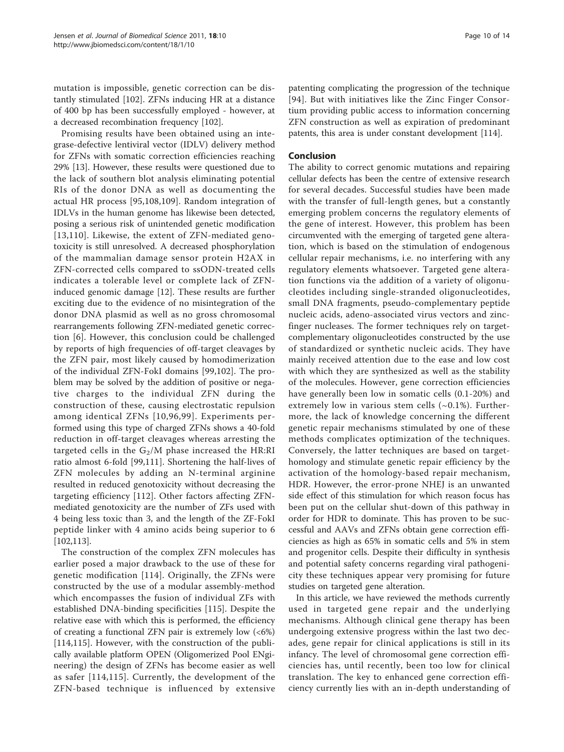mutation is impossible, genetic correction can be distantly stimulated [[102\]](#page-12-0). ZFNs inducing HR at a distance of 400 bp has been successfully employed - however, at a decreased recombination frequency [[102\]](#page-12-0).

Promising results have been obtained using an integrase-defective lentiviral vector (IDLV) delivery method for ZFNs with somatic correction efficiencies reaching 29% [[13\]](#page-10-0). However, these results were questioned due to the lack of southern blot analysis eliminating potential RIs of the donor DNA as well as documenting the actual HR process [\[95,108,109](#page-12-0)]. Random integration of IDLVs in the human genome has likewise been detected, posing a serious risk of unintended genetic modification [[13](#page-10-0),[110](#page-12-0)]. Likewise, the extent of ZFN-mediated genotoxicity is still unresolved. A decreased phosphorylation of the mammalian damage sensor protein H2AX in ZFN-corrected cells compared to ssODN-treated cells indicates a tolerable level or complete lack of ZFNinduced genomic damage [\[12](#page-10-0)]. These results are further exciting due to the evidence of no misintegration of the donor DNA plasmid as well as no gross chromosomal rearrangements following ZFN-mediated genetic correction [\[6](#page-10-0)]. However, this conclusion could be challenged by reports of high frequencies of off-target cleavages by the ZFN pair, most likely caused by homodimerization of the individual ZFN-FokI domains [[99](#page-12-0),[102\]](#page-12-0). The problem may be solved by the addition of positive or negative charges to the individual ZFN during the construction of these, causing electrostatic repulsion among identical ZFNs [[10,](#page-10-0)[96](#page-12-0),[99](#page-12-0)]. Experiments performed using this type of charged ZFNs shows a 40-fold reduction in off-target cleavages whereas arresting the targeted cells in the  $G_2/M$  phase increased the HR:RI ratio almost 6-fold [\[99,111](#page-12-0)]. Shortening the half-lives of ZFN molecules by adding an N-terminal arginine resulted in reduced genotoxicity without decreasing the targeting efficiency [[112](#page-12-0)]. Other factors affecting ZFNmediated genotoxicity are the number of ZFs used with 4 being less toxic than 3, and the length of the ZF-FokI peptide linker with 4 amino acids being superior to 6 [[102](#page-12-0),[113](#page-12-0)].

The construction of the complex ZFN molecules has earlier posed a major drawback to the use of these for genetic modification [[114](#page-12-0)]. Originally, the ZFNs were constructed by the use of a modular assembly-method which encompasses the fusion of individual ZFs with established DNA-binding specificities [\[115](#page-12-0)]. Despite the relative ease with which this is performed, the efficiency of creating a functional ZFN pair is extremely low (<6%) [[114,115](#page-12-0)]. However, with the construction of the publically available platform OPEN (Oligomerized Pool ENgineering) the design of ZFNs has become easier as well as safer [[114](#page-12-0),[115\]](#page-12-0). Currently, the development of the ZFN-based technique is influenced by extensive

patenting complicating the progression of the technique [[94](#page-12-0)]. But with initiatives like the Zinc Finger Consortium providing public access to information concerning ZFN construction as well as expiration of predominant patents, this area is under constant development [[114](#page-12-0)].

# Conclusion

The ability to correct genomic mutations and repairing cellular defects has been the centre of extensive research for several decades. Successful studies have been made with the transfer of full-length genes, but a constantly emerging problem concerns the regulatory elements of the gene of interest. However, this problem has been circumvented with the emerging of targeted gene alteration, which is based on the stimulation of endogenous cellular repair mechanisms, i.e. no interfering with any regulatory elements whatsoever. Targeted gene alteration functions via the addition of a variety of oligonucleotides including single-stranded oligonucleotides, small DNA fragments, pseudo-complementary peptide nucleic acids, adeno-associated virus vectors and zincfinger nucleases. The former techniques rely on targetcomplementary oligonucleotides constructed by the use of standardized or synthetic nucleic acids. They have mainly received attention due to the ease and low cost with which they are synthesized as well as the stability of the molecules. However, gene correction efficiencies have generally been low in somatic cells (0.1-20%) and extremely low in various stem cells  $(\sim 0.1\%)$ . Furthermore, the lack of knowledge concerning the different genetic repair mechanisms stimulated by one of these methods complicates optimization of the techniques. Conversely, the latter techniques are based on targethomology and stimulate genetic repair efficiency by the activation of the homology-based repair mechanism, HDR. However, the error-prone NHEJ is an unwanted side effect of this stimulation for which reason focus has been put on the cellular shut-down of this pathway in order for HDR to dominate. This has proven to be successful and AAVs and ZFNs obtain gene correction efficiencies as high as 65% in somatic cells and 5% in stem and progenitor cells. Despite their difficulty in synthesis and potential safety concerns regarding viral pathogenicity these techniques appear very promising for future studies on targeted gene alteration.

In this article, we have reviewed the methods currently used in targeted gene repair and the underlying mechanisms. Although clinical gene therapy has been undergoing extensive progress within the last two decades, gene repair for clinical applications is still in its infancy. The level of chromosomal gene correction efficiencies has, until recently, been too low for clinical translation. The key to enhanced gene correction efficiency currently lies with an in-depth understanding of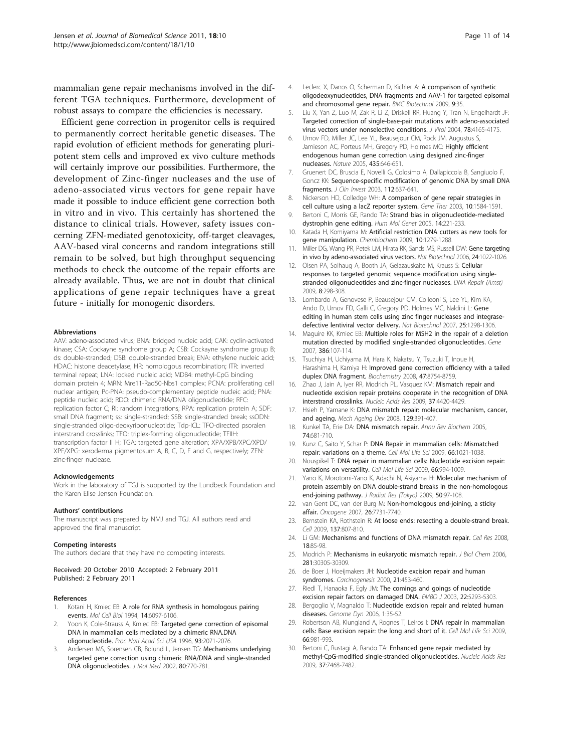<span id="page-10-0"></span>mammalian gene repair mechanisms involved in the different TGA techniques. Furthermore, development of robust assays to compare the efficiencies is necessary.

Efficient gene correction in progenitor cells is required to permanently correct heritable genetic diseases. The rapid evolution of efficient methods for generating pluripotent stem cells and improved ex vivo culture methods will certainly improve our possibilities. Furthermore, the development of Zinc-finger nucleases and the use of adeno-associated virus vectors for gene repair have made it possible to induce efficient gene correction both in vitro and in vivo. This certainly has shortened the distance to clinical trials. However, safety issues concerning ZFN-mediated genotoxicity, off-target cleavages, AAV-based viral concerns and random integrations still remain to be solved, but high throughput sequencing methods to check the outcome of the repair efforts are already available. Thus, we are not in doubt that clinical applications of gene repair techniques have a great future - initially for monogenic disorders.

#### Abbreviations

AAV: adeno-associated virus; BNA: bridged nucleic acid; CAK: cyclin-activated kinase; CSA: Cockayne syndrome group A; CSB: Cockayne syndrome group B: ds: double-stranded; DSB: double-stranded break; ENA: ethylene nucleic acid; HDAC: histone deacetylase; HR: homologous recombination; ITR: inverted terminal repeat; LNA: locked nucleic acid; MDB4: methyl-CpG binding domain protein 4; MRN: Mre11-Rad50-Nbs1 complex; PCNA: proliferating cell nuclear antigen; Pc-PNA: pseudo-complementary peptide nucleic acid; PNA: peptide nucleic acid; RDO: chimeric RNA/DNA oligonucleotide; RFC: replication factor C; RI: random integrations; RPA: replication protein A; SDF: small DNA fragment; ss: single-stranded; SSB: single-stranded break; ssODN: single-stranded oligo-deoxyribonucleotide; Tdp-ICL: TFO-directed psoralen interstrand crosslinks; TFO: triplex-forming oligonucleotide; TFIIH: transcription factor II H; TGA: targeted gene alteration; XPA/XPB/XPC/XPD/ XPF/XPG: xeroderma pigmentosum A, B, C, D, F and G, respectively; ZFN: zinc-finger nuclease.

#### Acknowledgements

Work in the laboratory of TGJ is supported by the Lundbeck Foundation and the Karen Elise Jensen Foundation.

#### Authors' contributions

The manuscript was prepared by NMJ and TGJ. All authors read and approved the final manuscript.

#### Competing interests

The authors declare that they have no competing interests.

### Received: 20 October 2010 Accepted: 2 February 2011 Published: 2 February 2011

#### References

- 1. Kotani H, Kmiec EB: [A role for RNA synthesis in homologous pairing](http://www.ncbi.nlm.nih.gov/pubmed/7520527?dopt=Abstract) [events.](http://www.ncbi.nlm.nih.gov/pubmed/7520527?dopt=Abstract) Mol Cell Biol 1994, 14:6097-6106.
- Yoon K, Cole-Strauss A, Kmiec EB: [Targeted gene correction of episomal](http://www.ncbi.nlm.nih.gov/pubmed/8700887?dopt=Abstract) [DNA in mammalian cells mediated by a chimeric RNA.DNA](http://www.ncbi.nlm.nih.gov/pubmed/8700887?dopt=Abstract) [oligonucleotide.](http://www.ncbi.nlm.nih.gov/pubmed/8700887?dopt=Abstract) Proc Natl Acad Sci USA 1996, 93:2071-2076.
- Andersen MS, Sorensen CB, Bolund L, Jensen TG: [Mechanisms underlying](http://www.ncbi.nlm.nih.gov/pubmed/12483462?dopt=Abstract) [targeted gene correction using chimeric RNA/DNA and single-stranded](http://www.ncbi.nlm.nih.gov/pubmed/12483462?dopt=Abstract) [DNA oligonucleotides.](http://www.ncbi.nlm.nih.gov/pubmed/12483462?dopt=Abstract) J Mol Med 2002, 80:770-781.
- 4. Leclerc X, Danos O, Scherman D, Kichler A: [A comparison of synthetic](http://www.ncbi.nlm.nih.gov/pubmed/19379497?dopt=Abstract) [oligodeoxynucleotides, DNA fragments and AAV-1 for targeted episomal](http://www.ncbi.nlm.nih.gov/pubmed/19379497?dopt=Abstract) [and chromosomal gene repair.](http://www.ncbi.nlm.nih.gov/pubmed/19379497?dopt=Abstract) BMC Biotechnol 2009, 9:35.
- 5. Liu X, Yan Z, Luo M, Zak R, Li Z, Driskell RR, Huang Y, Tran N, Engelhardt JF: [Targeted correction of single-base-pair mutations with adeno-associated](http://www.ncbi.nlm.nih.gov/pubmed/15047832?dopt=Abstract) [virus vectors under nonselective conditions.](http://www.ncbi.nlm.nih.gov/pubmed/15047832?dopt=Abstract) J Virol 2004, 78:4165-4175.
- 6. Urnov FD, Miller JC, Lee YL, Beausejour CM, Rock JM, Augustus S, Jamieson AC, Porteus MH, Gregory PD, Holmes MC: [Highly efficient](http://www.ncbi.nlm.nih.gov/pubmed/15806097?dopt=Abstract) [endogenous human gene correction using designed zinc-finger](http://www.ncbi.nlm.nih.gov/pubmed/15806097?dopt=Abstract) [nucleases.](http://www.ncbi.nlm.nih.gov/pubmed/15806097?dopt=Abstract) Nature 2005, 435:646-651.
- 7. Gruenert DC, Bruscia E, Novelli G, Colosimo A, Dallapiccola B, Sangiuolo F, Goncz KK: [Sequence-specific modification of genomic DNA by small DNA](http://www.ncbi.nlm.nih.gov/pubmed/12952908?dopt=Abstract) [fragments.](http://www.ncbi.nlm.nih.gov/pubmed/12952908?dopt=Abstract) J Clin Invest 2003, 112:637-641.
- 8. Nickerson HD, Colledge WH: [A comparison of gene repair strategies in](http://www.ncbi.nlm.nih.gov/pubmed/12907950?dopt=Abstract) [cell culture using a lacZ reporter system.](http://www.ncbi.nlm.nih.gov/pubmed/12907950?dopt=Abstract) Gene Ther 2003, 10:1584-1591.
- Bertoni C, Morris GE, Rando TA: [Strand bias in oligonucleotide-mediated](http://www.ncbi.nlm.nih.gov/pubmed/15563511?dopt=Abstract) [dystrophin gene editing.](http://www.ncbi.nlm.nih.gov/pubmed/15563511?dopt=Abstract) Hum Mol Genet 2005, 14:221-233.
- 10. Katada H, Komiyama M: [Artificial restriction DNA cutters as new tools for](http://www.ncbi.nlm.nih.gov/pubmed/19396851?dopt=Abstract) [gene manipulation.](http://www.ncbi.nlm.nih.gov/pubmed/19396851?dopt=Abstract) Chembiochem 2009, 10:1279-1288.
- 11. Miller DG, Wang PR, Petek LM, Hirata RK, Sands MS, Russell DW: [Gene targeting](http://www.ncbi.nlm.nih.gov/pubmed/16878127?dopt=Abstract) [in vivo by adeno-associated virus vectors.](http://www.ncbi.nlm.nih.gov/pubmed/16878127?dopt=Abstract) Nat Biotechnol 2006, 24:1022-1026.
- 12. Olsen PA, Solhaug A, Booth JA, Gelazauskaite M, Krauss S: [Cellular](http://www.ncbi.nlm.nih.gov/pubmed/19071233?dopt=Abstract) [responses to targeted genomic sequence modification using single](http://www.ncbi.nlm.nih.gov/pubmed/19071233?dopt=Abstract)[stranded oligonucleotides and zinc-finger nucleases.](http://www.ncbi.nlm.nih.gov/pubmed/19071233?dopt=Abstract) DNA Repair (Amst) 2009, 8:298-308.
- 13. Lombardo A, Genovese P, Beausejour CM, Colleoni S, Lee YL, Kim KA, Ando D, Urnov FD, Galli C, Gregory PD, Holmes MC, Naldini L: [Gene](http://www.ncbi.nlm.nih.gov/pubmed/17965707?dopt=Abstract) [editing in human stem cells using zinc finger nucleases and integrase](http://www.ncbi.nlm.nih.gov/pubmed/17965707?dopt=Abstract)[defective lentiviral vector delivery.](http://www.ncbi.nlm.nih.gov/pubmed/17965707?dopt=Abstract) Nat Biotechnol 2007, 25:1298-1306.
- 14. Maguire KK, Kmiec EB: [Multiple roles for MSH2 in the repair of a deletion](http://www.ncbi.nlm.nih.gov/pubmed/17113727?dopt=Abstract) [mutation directed by modified single-stranded oligonucleotides.](http://www.ncbi.nlm.nih.gov/pubmed/17113727?dopt=Abstract) Gene 2007, 386:107-114.
- 15. Tsuchiya H, Uchiyama M, Hara K, Nakatsu Y, Tsuzuki T, Inoue H, Harashima H, Kamiya H: [Improved gene correction efficiency with a tailed](http://www.ncbi.nlm.nih.gov/pubmed/18642931?dopt=Abstract) [duplex DNA fragment.](http://www.ncbi.nlm.nih.gov/pubmed/18642931?dopt=Abstract) Biochemistry 2008, 47:8754-8759.
- 16. Zhao J, Jain A, Iyer RR, Modrich PL, Vasquez KM: [Mismatch repair and](http://www.ncbi.nlm.nih.gov/pubmed/19468048?dopt=Abstract) [nucleotide excision repair proteins cooperate in the recognition of DNA](http://www.ncbi.nlm.nih.gov/pubmed/19468048?dopt=Abstract) [interstrand crosslinks.](http://www.ncbi.nlm.nih.gov/pubmed/19468048?dopt=Abstract) Nucleic Acids Res 2009, 37:4420-4429.
- 17. Hsieh P, Yamane K: [DNA mismatch repair: molecular mechanism, cancer,](http://www.ncbi.nlm.nih.gov/pubmed/18406444?dopt=Abstract) [and ageing.](http://www.ncbi.nlm.nih.gov/pubmed/18406444?dopt=Abstract) Mech Ageing Dev 2008, 129:391-407.
- 18. Kunkel TA, Erie DA: [DNA mismatch repair.](http://www.ncbi.nlm.nih.gov/pubmed/15952900?dopt=Abstract) Annu Rev Biochem 2005, 74:681-710.
- 19. Kunz C, Saito Y, Schar P: [DNA Repair in mammalian cells: Mismatched](http://www.ncbi.nlm.nih.gov/pubmed/19153655?dopt=Abstract) [repair: variations on a theme.](http://www.ncbi.nlm.nih.gov/pubmed/19153655?dopt=Abstract) Cell Mol Life Sci 2009, 66:1021-1038.
- 20. Nouspikel T: [DNA repair in mammalian cells: Nucleotide excision repair:](http://www.ncbi.nlm.nih.gov/pubmed/19153657?dopt=Abstract) [variations on versatility.](http://www.ncbi.nlm.nih.gov/pubmed/19153657?dopt=Abstract) Cell Mol Life Sci 2009, 66:994-1009.
- 21. Yano K, Morotomi-Yano K, Adachi N, Akiyama H: [Molecular mechanism of](http://www.ncbi.nlm.nih.gov/pubmed/19346677?dopt=Abstract) [protein assembly on DNA double-strand breaks in the non-homologous](http://www.ncbi.nlm.nih.gov/pubmed/19346677?dopt=Abstract) [end-joining pathway.](http://www.ncbi.nlm.nih.gov/pubmed/19346677?dopt=Abstract) J Radiat Res (Tokyo) 2009, 50:97-108.
- 22. van Gent DC, van der Burg M: [Non-homologous end-joining, a sticky](http://www.ncbi.nlm.nih.gov/pubmed/18066085?dopt=Abstract) [affair.](http://www.ncbi.nlm.nih.gov/pubmed/18066085?dopt=Abstract) Oncogene 2007, 26:7731-7740.
- 23. Bernstein KA, Rothstein R: [At loose ends: resecting a double-strand break.](http://www.ncbi.nlm.nih.gov/pubmed/19490890?dopt=Abstract) Cell 2009, 137:807-810.
- 24. Li GM: [Mechanisms and functions of DNA mismatch repair.](http://www.ncbi.nlm.nih.gov/pubmed/18157157?dopt=Abstract) Cell Res 2008, 18:85-98.
- 25. Modrich P: [Mechanisms in eukaryotic mismatch repair.](http://www.ncbi.nlm.nih.gov/pubmed/16905530?dopt=Abstract) J Biol Chem 2006, 281:30305-30309.
- 26. de Boer J, Hoeijmakers JH: [Nucleotide excision repair and human](http://www.ncbi.nlm.nih.gov/pubmed/10688865?dopt=Abstract) [syndromes.](http://www.ncbi.nlm.nih.gov/pubmed/10688865?dopt=Abstract) Carcinogenesis 2000, 21:453-460.
- 27. Riedl T, Hanaoka F, Egly JM: [The comings and goings of nucleotide](http://www.ncbi.nlm.nih.gov/pubmed/14517266?dopt=Abstract) [excision repair factors on damaged DNA.](http://www.ncbi.nlm.nih.gov/pubmed/14517266?dopt=Abstract) EMBO J 2003, 22:5293-5303.
- 28. Bergoglio V, Magnaldo T: [Nucleotide excision repair and related human](http://www.ncbi.nlm.nih.gov/pubmed/18724052?dopt=Abstract) [diseases.](http://www.ncbi.nlm.nih.gov/pubmed/18724052?dopt=Abstract) Genome Dyn 2006, 1:35-52.
- 29. Robertson AB, Klungland A, Rognes T, Leiros I: [DNA repair in mammalian](http://www.ncbi.nlm.nih.gov/pubmed/19153658?dopt=Abstract) [cells: Base excision repair: the long and short of it.](http://www.ncbi.nlm.nih.gov/pubmed/19153658?dopt=Abstract) Cell Mol Life Sci 2009, 66:981-993.
- 30. Bertoni C, Rustagi A, Rando TA: [Enhanced gene repair mediated by](http://www.ncbi.nlm.nih.gov/pubmed/19854937?dopt=Abstract) [methyl-CpG-modified single-stranded oligonucleotides.](http://www.ncbi.nlm.nih.gov/pubmed/19854937?dopt=Abstract) Nucleic Acids Res 2009, 37:7468-7482.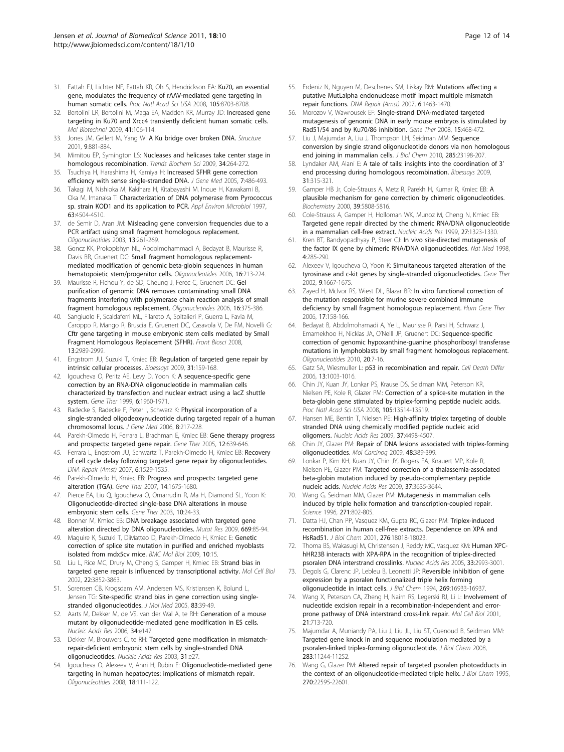- <span id="page-11-0"></span>31. Fattah FJ, Lichter NF, Fattah KR, Oh S, Hendrickson EA: [Ku70, an essential](http://www.ncbi.nlm.nih.gov/pubmed/18562296?dopt=Abstract) [gene, modulates the frequency of rAAV-mediated gene targeting in](http://www.ncbi.nlm.nih.gov/pubmed/18562296?dopt=Abstract) [human somatic cells.](http://www.ncbi.nlm.nih.gov/pubmed/18562296?dopt=Abstract) Proc Natl Acad Sci USA 2008, 105:8703-8708.
- 32. Bertolini LR, Bertolini M, Maga EA, Madden KR, Murray JD: [Increased gene](http://www.ncbi.nlm.nih.gov/pubmed/18759011?dopt=Abstract) [targeting in Ku70 and Xrcc4 transiently deficient human somatic cells.](http://www.ncbi.nlm.nih.gov/pubmed/18759011?dopt=Abstract) Mol Biotechnol 2009, 41:106-114.
- 33. Jones JM, Gellert M, Yang W: [A Ku bridge over broken DNA.](http://www.ncbi.nlm.nih.gov/pubmed/11591342?dopt=Abstract) Structure 2001, 9:881-884.
- 34. Mimitou EP, Symington LS: [Nucleases and helicases take center stage in](http://www.ncbi.nlm.nih.gov/pubmed/19375328?dopt=Abstract) [homologous recombination.](http://www.ncbi.nlm.nih.gov/pubmed/19375328?dopt=Abstract) Trends Biochem Sci 2009, 34:264-272.
- 35. Tsuchiya H, Harashima H, Kamiya H: [Increased SFHR gene correction](http://www.ncbi.nlm.nih.gov/pubmed/15521053?dopt=Abstract) [efficiency with sense single-stranded DNA.](http://www.ncbi.nlm.nih.gov/pubmed/15521053?dopt=Abstract) J Gene Med 2005, 7:486-493.
- 36. Takagi M, Nishioka M, Kakihara H, Kitabayashi M, Inoue H, Kawakami B, Oka M, Imanaka T: [Characterization of DNA polymerase from Pyrococcus](http://www.ncbi.nlm.nih.gov/pubmed/9361436?dopt=Abstract) [sp. strain KOD1 and its application to PCR.](http://www.ncbi.nlm.nih.gov/pubmed/9361436?dopt=Abstract) Appl Environ Microbiol 1997, 63:4504-4510.
- 37. de Semir D, Aran JM: [Misleading gene conversion frequencies due to a](http://www.ncbi.nlm.nih.gov/pubmed/15000840?dopt=Abstract) [PCR artifact using small fragment homologous replacement.](http://www.ncbi.nlm.nih.gov/pubmed/15000840?dopt=Abstract) Oligonucleotides 2003, 13:261-269.
- 38. Goncz KK, Prokopishyn NL, Abdolmohammadi A, Bedayat B, Maurisse R, Davis BR, Gruenert DC: [Small fragment homologous replacement](http://www.ncbi.nlm.nih.gov/pubmed/16978085?dopt=Abstract)[mediated modification of genomic beta-globin sequences in human](http://www.ncbi.nlm.nih.gov/pubmed/16978085?dopt=Abstract) [hematopoietic stem/progenitor cells.](http://www.ncbi.nlm.nih.gov/pubmed/16978085?dopt=Abstract) Oligonucleotides 2006, 16:213-224.
- 39. Maurisse R, Fichou Y, de SD, Cheung J, Ferec C, Gruenert DC: [Gel](http://www.ncbi.nlm.nih.gov/pubmed/17155912?dopt=Abstract) [purification of genomic DNA removes contaminating small DNA](http://www.ncbi.nlm.nih.gov/pubmed/17155912?dopt=Abstract) [fragments interfering with polymerase chain reaction analysis of small](http://www.ncbi.nlm.nih.gov/pubmed/17155912?dopt=Abstract) [fragment homologous replacement.](http://www.ncbi.nlm.nih.gov/pubmed/17155912?dopt=Abstract) Oligonucleotides 2006, 16:375-386.
- 40. Sangiuolo F, Scaldaferri ML, Filareto A, Spitalieri P, Guerra L, Favia M, Caroppo R, Mango R, Bruscia E, Gruenert DC, Casavola V, De FM, Novelli G: [Cftr gene targeting in mouse embryonic stem cells mediated by Small](http://www.ncbi.nlm.nih.gov/pubmed/17981772?dopt=Abstract) [Fragment Homologous Replacement \(SFHR\).](http://www.ncbi.nlm.nih.gov/pubmed/17981772?dopt=Abstract) Front Biosci 2008, 13:2989-2999.
- 41. Engstrom JU, Suzuki T, Kmiec EB: [Regulation of targeted gene repair by](http://www.ncbi.nlm.nih.gov/pubmed/19204988?dopt=Abstract) [intrinsic cellular processes.](http://www.ncbi.nlm.nih.gov/pubmed/19204988?dopt=Abstract) Bioessays 2009, 31:159-168.
- 42. Igoucheva O, Peritz AE, Levy D, Yoon K: [A sequence-specific gene](http://www.ncbi.nlm.nih.gov/pubmed/10637447?dopt=Abstract) [correction by an RNA-DNA oligonucleotide in mammalian cells](http://www.ncbi.nlm.nih.gov/pubmed/10637447?dopt=Abstract) [characterized by transfection and nuclear extract using a lacZ shuttle](http://www.ncbi.nlm.nih.gov/pubmed/10637447?dopt=Abstract) [system.](http://www.ncbi.nlm.nih.gov/pubmed/10637447?dopt=Abstract) Gene Ther 1999, 6:1960-1971.
- 43. Radecke S, Radecke F, Peter I, Schwarz K: [Physical incorporation of a](http://www.ncbi.nlm.nih.gov/pubmed/16142817?dopt=Abstract) [single-stranded oligodeoxynucleotide during targeted repair of a human](http://www.ncbi.nlm.nih.gov/pubmed/16142817?dopt=Abstract) [chromosomal locus.](http://www.ncbi.nlm.nih.gov/pubmed/16142817?dopt=Abstract) J Gene Med 2006, 8:217-228.
- Parekh-Olmedo H, Ferrara L, Brachman E, Kmiec EB: [Gene therapy progress](http://www.ncbi.nlm.nih.gov/pubmed/15815682?dopt=Abstract) [and prospects: targeted gene repair.](http://www.ncbi.nlm.nih.gov/pubmed/15815682?dopt=Abstract) Gene Ther 2005, 12:639-646.
- 45. Ferrara L, Engstrom JU, Schwartz T, Parekh-Olmedo H, Kmiec EB: [Recovery](http://www.ncbi.nlm.nih.gov/pubmed/17560837?dopt=Abstract) of [cell cycle delay following targeted gene repair by oligonucleotides.](http://www.ncbi.nlm.nih.gov/pubmed/17560837?dopt=Abstract) DNA Repair (Amst) 2007, 6:1529-1535.
- 46. Parekh-Olmedo H, Kmiec EB: [Progress and prospects: targeted gene](http://www.ncbi.nlm.nih.gov/pubmed/17972921?dopt=Abstract) [alteration \(TGA\).](http://www.ncbi.nlm.nih.gov/pubmed/17972921?dopt=Abstract) Gene Ther 2007, 14:1675-1680.
- 47. Pierce EA, Liu Q, Igoucheva O, Omarrudin R, Ma H, Diamond SL, Yoon K: [Oligonucleotide-directed single-base DNA alterations in mouse](http://www.ncbi.nlm.nih.gov/pubmed/12525834?dopt=Abstract) [embryonic stem cells.](http://www.ncbi.nlm.nih.gov/pubmed/12525834?dopt=Abstract) Gene Ther 2003, 10:24-33.
- 48. Bonner M, Kmiec EB: [DNA breakage associated with targeted gene](http://www.ncbi.nlm.nih.gov/pubmed/19463835?dopt=Abstract) [alteration directed by DNA oligonucleotides.](http://www.ncbi.nlm.nih.gov/pubmed/19463835?dopt=Abstract) Mutat Res 2009, 669:85-94.
- 49. Maguire K, Suzuki T, DiMatteo D, Parekh-Olmedo H, Kmiec E: [Genetic](http://www.ncbi.nlm.nih.gov/pubmed/19236710?dopt=Abstract) [correction of splice site mutation in purified and enriched myoblasts](http://www.ncbi.nlm.nih.gov/pubmed/19236710?dopt=Abstract) [isolated from mdx5cv mice.](http://www.ncbi.nlm.nih.gov/pubmed/19236710?dopt=Abstract) BMC Mol Biol 2009, 10:15.
- 50. Liu L, Rice MC, Drury M, Cheng S, Gamper H, Kmiec EB: [Strand bias in](http://www.ncbi.nlm.nih.gov/pubmed/11997519?dopt=Abstract) [targeted gene repair is influenced by transcriptional activity.](http://www.ncbi.nlm.nih.gov/pubmed/11997519?dopt=Abstract) Mol Cell Biol 2002, 22:3852-3863.
- 51. Sorensen CB, Krogsdam AM, Andersen MS, Kristiansen K, Bolund L, Jensen TG: [Site-specific strand bias in gene correction using single](http://www.ncbi.nlm.nih.gov/pubmed/15517130?dopt=Abstract)[stranded oligonucleotides.](http://www.ncbi.nlm.nih.gov/pubmed/15517130?dopt=Abstract) J Mol Med 2005, 83:39-49.
- 52. Aarts M, Dekker M, de VS, van der Wal A, te RH: [Generation of a mouse](http://www.ncbi.nlm.nih.gov/pubmed/17142234?dopt=Abstract) [mutant by oligonucleotide-mediated gene modification in ES cells.](http://www.ncbi.nlm.nih.gov/pubmed/17142234?dopt=Abstract) Nucleic Acids Res 2006, 34:e147.
- 53. Dekker M, Brouwers C, te RH: [Targeted gene modification in mismatch](http://www.ncbi.nlm.nih.gov/pubmed/12626726?dopt=Abstract)[repair-deficient embryonic stem cells by single-stranded DNA](http://www.ncbi.nlm.nih.gov/pubmed/12626726?dopt=Abstract) [oligonucleotides.](http://www.ncbi.nlm.nih.gov/pubmed/12626726?dopt=Abstract) Nucleic Acids Res 2003, 31:e27.
- 54. Igoucheva O, Alexeev V, Anni H, Rubin E: [Oligonucleotide-mediated gene](http://www.ncbi.nlm.nih.gov/pubmed/18637729?dopt=Abstract) [targeting in human hepatocytes: implications of mismatch repair.](http://www.ncbi.nlm.nih.gov/pubmed/18637729?dopt=Abstract) Oligonucleotides 2008, 18:111-122.
- 55. Erdeniz N, Nguyen M, Deschenes SM, Liskay RM: [Mutations affecting a](http://www.ncbi.nlm.nih.gov/pubmed/17567544?dopt=Abstract) [putative MutLalpha endonuclease motif impact multiple mismatch](http://www.ncbi.nlm.nih.gov/pubmed/17567544?dopt=Abstract) [repair functions.](http://www.ncbi.nlm.nih.gov/pubmed/17567544?dopt=Abstract) DNA Repair (Amst) 2007, 6:1463-1470.
- 56. Morozov V, Wawrousek EF: [Single-strand DNA-mediated targeted](http://www.ncbi.nlm.nih.gov/pubmed/18079752?dopt=Abstract) [mutagenesis of genomic DNA in early mouse embryos is stimulated by](http://www.ncbi.nlm.nih.gov/pubmed/18079752?dopt=Abstract) [Rad51/54 and by Ku70/86 inhibition.](http://www.ncbi.nlm.nih.gov/pubmed/18079752?dopt=Abstract) Gene Ther 2008, 15:468-472.
- 57. Liu J, Majumdar A, Liu J, Thompson LH, Seidman MM: [Sequence](http://www.ncbi.nlm.nih.gov/pubmed/20489199?dopt=Abstract) [conversion by single strand oligonucleotide donors via non homologous](http://www.ncbi.nlm.nih.gov/pubmed/20489199?dopt=Abstract) [end joining in mammalian cells.](http://www.ncbi.nlm.nih.gov/pubmed/20489199?dopt=Abstract) J Biol Chem 2010, 285:23198-207.
- 58. Lyndaker AM, Alani E: [A tale of tails: insights into the coordination of 3](http://www.ncbi.nlm.nih.gov/pubmed/19260026?dopt=Abstract)' [end processing during homologous recombination.](http://www.ncbi.nlm.nih.gov/pubmed/19260026?dopt=Abstract) Bioessays 2009, 31:315-321.
- 59. Gamper HB Jr, Cole-Strauss A, Metz R, Parekh H, Kumar R, Kmiec EB: [A](http://www.ncbi.nlm.nih.gov/pubmed/10801331?dopt=Abstract) plausible [mechanism for gene correction by chimeric oligonucleotides.](http://www.ncbi.nlm.nih.gov/pubmed/10801331?dopt=Abstract) Biochemistry 2000, 39:5808-5816.
- 60. Cole-Strauss A, Gamper H, Holloman WK, Munoz M, Cheng N, Kmiec EB: [Targeted gene repair directed by the chimeric RNA/DNA oligonucleotide](http://www.ncbi.nlm.nih.gov/pubmed/9973621?dopt=Abstract) [in a mammalian cell-free extract.](http://www.ncbi.nlm.nih.gov/pubmed/9973621?dopt=Abstract) Nucleic Acids Res 1999, 27:1323-1330.
- 61. Kren BT, Bandyopadhyay P, Steer CJ: [In vivo site-directed mutagenesis of](http://www.ncbi.nlm.nih.gov/pubmed/9500600?dopt=Abstract) [the factor IX gene by chimeric RNA/DNA oligonucleotides.](http://www.ncbi.nlm.nih.gov/pubmed/9500600?dopt=Abstract) Nat Med 1998, 4:285-290.
- 62. Alexeev V, Igoucheva O, Yoon K: [Simultaneous targeted alteration of the](http://www.ncbi.nlm.nih.gov/pubmed/12457280?dopt=Abstract) [tyrosinase and c-kit genes by single-stranded oligonucleotides.](http://www.ncbi.nlm.nih.gov/pubmed/12457280?dopt=Abstract) Gene Ther 2002, 9:1667-1675.
- 63. Zayed H, McIvor RS, Wiest DL, Blazar BR: [In vitro functional correction of](http://www.ncbi.nlm.nih.gov/pubmed/16454649?dopt=Abstract) [the mutation responsible for murine severe combined immune](http://www.ncbi.nlm.nih.gov/pubmed/16454649?dopt=Abstract) [deficiency by small fragment homologous replacement.](http://www.ncbi.nlm.nih.gov/pubmed/16454649?dopt=Abstract) Hum Gene Ther 2006, 17:158-166.
- Bedayat B, Abdolmohamadi A, Ye L, Maurisse R, Parsi H, Schwarz J, Emamekhoo H, Nicklas JA, O'Neill JP, Gruenert DC: [Sequence-specific](http://www.ncbi.nlm.nih.gov/pubmed/19995283?dopt=Abstract) [correction of genomic hypoxanthine-guanine phosphoribosyl transferase](http://www.ncbi.nlm.nih.gov/pubmed/19995283?dopt=Abstract) [mutations in lymphoblasts by small fragment homologous replacement.](http://www.ncbi.nlm.nih.gov/pubmed/19995283?dopt=Abstract) Oligonucleotides 2010, 20:7-16.
- 65. Gatz SA, Wiesmuller L: [p53 in recombination and repair.](http://www.ncbi.nlm.nih.gov/pubmed/16543940?dopt=Abstract) Cell Death Differ 2006, 13:1003-1016.
- 66. Chin JY, Kuan JY, Lonkar PS, Krause DS, Seidman MM, Peterson KR, Nielsen PE, Kole R, Glazer PM: [Correction of a splice-site mutation in the](http://www.ncbi.nlm.nih.gov/pubmed/18757759?dopt=Abstract) [beta-globin gene stimulated by triplex-forming peptide nucleic acids.](http://www.ncbi.nlm.nih.gov/pubmed/18757759?dopt=Abstract) Proc Natl Acad Sci USA 2008, 105:13514-13519.
- 67. Hansen ME, Bentin T, Nielsen PE: [High-affinity triplex targeting of double](http://www.ncbi.nlm.nih.gov/pubmed/19474349?dopt=Abstract) [stranded DNA using chemically modified peptide nucleic acid](http://www.ncbi.nlm.nih.gov/pubmed/19474349?dopt=Abstract) [oligomers.](http://www.ncbi.nlm.nih.gov/pubmed/19474349?dopt=Abstract) Nucleic Acids Res 2009, 37:4498-4507.
- 68. Chin JY, Glazer PM: [Repair of DNA lesions associated with triplex-forming](http://www.ncbi.nlm.nih.gov/pubmed/19072762?dopt=Abstract) [oligonucleotides.](http://www.ncbi.nlm.nih.gov/pubmed/19072762?dopt=Abstract) Mol Carcinog 2009, 48:389-399.
- 69. Lonkar P, Kim KH, Kuan JY, Chin JY, Rogers FA, Knauert MP, Kole R, Nielsen PE, Glazer PM: [Targeted correction of a thalassemia-associated](http://www.ncbi.nlm.nih.gov/pubmed/19364810?dopt=Abstract) [beta-globin mutation induced by pseudo-complementary peptide](http://www.ncbi.nlm.nih.gov/pubmed/19364810?dopt=Abstract) [nucleic acids.](http://www.ncbi.nlm.nih.gov/pubmed/19364810?dopt=Abstract) Nucleic Acids Res 2009, 37:3635-3644.
- 70. Wang G, Seidman MM, Glazer PM: [Mutagenesis in mammalian cells](http://www.ncbi.nlm.nih.gov/pubmed/8628995?dopt=Abstract) [induced by triple helix formation and transcription-coupled repair.](http://www.ncbi.nlm.nih.gov/pubmed/8628995?dopt=Abstract) Science 1996, 271:802-805.
- 71. Datta HJ, Chan PP, Vasquez KM, Gupta RC, Glazer PM: [Triplex-induced](http://www.ncbi.nlm.nih.gov/pubmed/11278954?dopt=Abstract) [recombination in human cell-free extracts. Dependence on XPA and](http://www.ncbi.nlm.nih.gov/pubmed/11278954?dopt=Abstract) [HsRad51.](http://www.ncbi.nlm.nih.gov/pubmed/11278954?dopt=Abstract) J Biol Chem 2001, 276:18018-18023.
- 72. Thoma BS, Wakasugi M, Christensen J, Reddy MC, Vasquez KM: [Human XPC](http://www.ncbi.nlm.nih.gov/pubmed/15914671?dopt=Abstract)[hHR23B interacts with XPA-RPA in the recognition of triplex-directed](http://www.ncbi.nlm.nih.gov/pubmed/15914671?dopt=Abstract) [psoralen DNA interstrand crosslinks.](http://www.ncbi.nlm.nih.gov/pubmed/15914671?dopt=Abstract) Nucleic Acids Res 2005, 33:2993-3001.
- 73. Degols G, Clarenc JP, Lebleu B, Leonetti JP: Reversible [inhibition of gene](http://www.ncbi.nlm.nih.gov/pubmed/8207016?dopt=Abstract) [expression by a psoralen functionalized triple helix forming](http://www.ncbi.nlm.nih.gov/pubmed/8207016?dopt=Abstract) [oligonucleotide in intact cells.](http://www.ncbi.nlm.nih.gov/pubmed/8207016?dopt=Abstract) J Biol Chem 1994, 269:16933-16937.
- 74. Wang X, Peterson CA, Zheng H, Nairn RS, Legerski RJ, Li L: [Involvement of](http://www.ncbi.nlm.nih.gov/pubmed/11154259?dopt=Abstract) [nucleotide excision repair in a recombination-independent and error](http://www.ncbi.nlm.nih.gov/pubmed/11154259?dopt=Abstract)[prone pathway of DNA interstrand cross-link repair.](http://www.ncbi.nlm.nih.gov/pubmed/11154259?dopt=Abstract) Mol Cell Biol 2001, 21:713-720.
- 75. Majumdar A, Muniandy PA, Liu J, Liu JL, Liu ST, Cuenoud B, Seidman MM: [Targeted gene knock in and sequence modulation mediated by a](http://www.ncbi.nlm.nih.gov/pubmed/18303025?dopt=Abstract) [psoralen-linked triplex-forming oligonucleotide.](http://www.ncbi.nlm.nih.gov/pubmed/18303025?dopt=Abstract) J Biol Chem 2008, 283:11244-11252.
- 76. Wang G, Glazer PM: [Altered repair of targeted psoralen photoadducts in](http://www.ncbi.nlm.nih.gov/pubmed/7673252?dopt=Abstract) [the context of an oligonucleotide-mediated triple helix.](http://www.ncbi.nlm.nih.gov/pubmed/7673252?dopt=Abstract) J Biol Chem 1995, 270:22595-22601.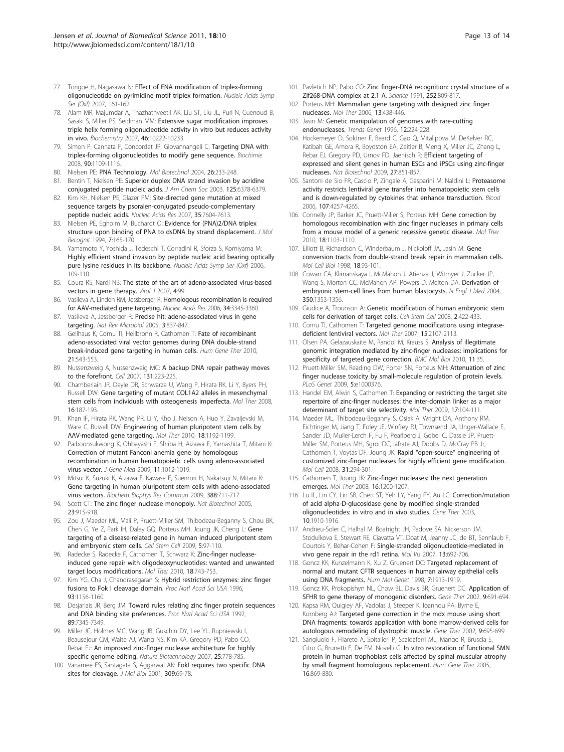- <span id="page-12-0"></span>77. Torigoe H, Nagasawa N: [Effect of ENA modification of triplex-forming](http://www.ncbi.nlm.nih.gov/pubmed/18029636?dopt=Abstract) [oligonucleotide on pyrimidine motif triplex formation.](http://www.ncbi.nlm.nih.gov/pubmed/18029636?dopt=Abstract) Nucleic Acids Symp Ser (Oxf) 2007, 161-162.
- 78. Alam MR, Majumdar A, Thazhathveetil AK, Liu ST, Liu JL, Puri N, Cuenoud B, Sasaki S, Miller PS, Seidman MM: [Extensive sugar modification improves](http://www.ncbi.nlm.nih.gov/pubmed/17691818?dopt=Abstract) [triple helix forming oligonucleotide activity in vitro but reduces activity](http://www.ncbi.nlm.nih.gov/pubmed/17691818?dopt=Abstract) [in vivo.](http://www.ncbi.nlm.nih.gov/pubmed/17691818?dopt=Abstract) Biochemistry 2007, 46:10222-10233.
- 79. Simon P, Cannata F, Concordet JP, Giovannangeli C: [Targeting DNA with](http://www.ncbi.nlm.nih.gov/pubmed/18460344?dopt=Abstract) [triplex-forming oligonucleotides to modify gene sequence.](http://www.ncbi.nlm.nih.gov/pubmed/18460344?dopt=Abstract) Biochimie 2008, 90:1109-1116.
- 80. Nielsen PE: [PNA Technology.](http://www.ncbi.nlm.nih.gov/pubmed/15004293?dopt=Abstract) Mol Biotechnol 2004, 26:233-248.
- 81. Bentin T, Nielsen PE: [Superior duplex DNA strand invasion by acridine](http://www.ncbi.nlm.nih.gov/pubmed/12785772?dopt=Abstract) [conjugated peptide nucleic acids.](http://www.ncbi.nlm.nih.gov/pubmed/12785772?dopt=Abstract) J Am Chem Soc 2003, 125:6378-6379.
- 82. Kim KH, Nielsen PE, Glazer PM: [Site-directed gene mutation at mixed](http://www.ncbi.nlm.nih.gov/pubmed/17977869?dopt=Abstract) [sequence targets by psoralen-conjugated pseudo-complementary](http://www.ncbi.nlm.nih.gov/pubmed/17977869?dopt=Abstract) [peptide nucleic acids.](http://www.ncbi.nlm.nih.gov/pubmed/17977869?dopt=Abstract) Nucleic Acids Res 2007, 35:7604-7613.
- 83. Nielsen PE, Egholm M, Buchardt O: [Evidence for \(PNA\)2/DNA triplex](http://www.ncbi.nlm.nih.gov/pubmed/7880540?dopt=Abstract) [structure upon binding of PNA to dsDNA by strand displacement.](http://www.ncbi.nlm.nih.gov/pubmed/7880540?dopt=Abstract) J Mol Recognit 1994, 7:165-170.
- 84. Yamamoto Y, Yoshida J, Tedeschi T, Corradini R, Sforza S, Komiyama M: [Highly efficient strand invasion by peptide nucleic acid bearing optically](http://www.ncbi.nlm.nih.gov/pubmed/17150841?dopt=Abstract) [pure lysine residues in its backbone.](http://www.ncbi.nlm.nih.gov/pubmed/17150841?dopt=Abstract) Nucleic Acids Symp Ser (Oxf) 2006, 109-110.
- 85. Coura RS, Nardi NB: [The state of the art of adeno-associated virus-based](http://www.ncbi.nlm.nih.gov/pubmed/17939872?dopt=Abstract) [vectors in gene therapy.](http://www.ncbi.nlm.nih.gov/pubmed/17939872?dopt=Abstract) Virol J 2007, 4:99.
- 86. Vasileva A, Linden RM, Jessberger R: [Homologous recombination is required](http://www.ncbi.nlm.nih.gov/pubmed/16822856?dopt=Abstract) [for AAV-mediated gene targeting.](http://www.ncbi.nlm.nih.gov/pubmed/16822856?dopt=Abstract) Nucleic Acids Res 2006, 34:3345-3360.
- 87. Vasileva A, Jessberger R: [Precise hit: adeno-associated virus in gene](http://www.ncbi.nlm.nih.gov/pubmed/16261169?dopt=Abstract) [targeting.](http://www.ncbi.nlm.nih.gov/pubmed/16261169?dopt=Abstract) Nat Rev Microbiol 2005, 3:837-847.
- 88. Gellhaus K, Cornu TI, Heilbronn R, Cathomen T: [Fate of recombinant](http://www.ncbi.nlm.nih.gov/pubmed/20021219?dopt=Abstract) [adeno-associated viral vector genomes during DNA double-strand](http://www.ncbi.nlm.nih.gov/pubmed/20021219?dopt=Abstract) [break-induced gene targeting in human cells.](http://www.ncbi.nlm.nih.gov/pubmed/20021219?dopt=Abstract) Hum Gene Ther 2010, 21:543-553.
- 89. Nussenzweig A, Nussenzweig MC: [A backup DNA repair pathway moves](http://www.ncbi.nlm.nih.gov/pubmed/17956720?dopt=Abstract) [to the forefront.](http://www.ncbi.nlm.nih.gov/pubmed/17956720?dopt=Abstract) Cell 2007, 131:223-225.
- 90. Chamberlain JR, Deyle DR, Schwarze U, Wang P, Hirata RK, Li Y, Byers PH, Russell DW: [Gene targeting of mutant COL1A2 alleles in mesenchymal](http://www.ncbi.nlm.nih.gov/pubmed/17955022?dopt=Abstract) [stem cells from individuals with osteogenesis imperfecta.](http://www.ncbi.nlm.nih.gov/pubmed/17955022?dopt=Abstract) Mol Ther 2008, 16:187-193.
- 91. Khan IF, Hirata RK, Wang PR, Li Y, Kho J, Nelson A, Huo Y, Zavaljevski M, Ware C, Russell DW: [Engineering of human pluripotent stem cells by](http://www.ncbi.nlm.nih.gov/pubmed/20407427?dopt=Abstract) AAV-mediated [gene targeting.](http://www.ncbi.nlm.nih.gov/pubmed/20407427?dopt=Abstract) Mol Ther 2010, 18:1192-1199.
- 92. Paiboonsukwong K, Ohbayashi F, Shiiba H, Aizawa E, Yamashita T, Mitani K: [Correction of mutant Fanconi anemia gene by homologous](http://www.ncbi.nlm.nih.gov/pubmed/19653252?dopt=Abstract) [recombination in human hematopoietic cells using adeno-associated](http://www.ncbi.nlm.nih.gov/pubmed/19653252?dopt=Abstract) [virus vector.](http://www.ncbi.nlm.nih.gov/pubmed/19653252?dopt=Abstract) J Gene Med 2009, 11:1012-1019.
- 93. Mitsui K, Suzuki K, Aizawa E, Kawase E, Suemori H, Nakatsuji N, Mitani K: [Gene targeting in human pluripotent stem cells with adeno-associated](http://www.ncbi.nlm.nih.gov/pubmed/19695233?dopt=Abstract) [virus vectors.](http://www.ncbi.nlm.nih.gov/pubmed/19695233?dopt=Abstract) Biochem Biophys Res Commun 2009, 388:711-717.
- 94. Scott CT: [The zinc finger nuclease monopoly.](http://www.ncbi.nlm.nih.gov/pubmed/16082353?dopt=Abstract) Nat Biotechnol 2005, 23:915-918.
- 95. Zou J, Maeder ML, Mali P, Pruett-Miller SM, Thibodeau-Beganny S, Chou BK, Chen G, Ye Z, Park IH, Daley GQ, Porteus MH, Joung JK, Cheng L: [Gene](http://www.ncbi.nlm.nih.gov/pubmed/19540188?dopt=Abstract) [targeting of a disease-related gene in human induced pluripotent stem](http://www.ncbi.nlm.nih.gov/pubmed/19540188?dopt=Abstract) [and embryonic stem cells.](http://www.ncbi.nlm.nih.gov/pubmed/19540188?dopt=Abstract) Cell Stem Cell 2009, 5:97-110.
- 96. Radecke S, Radecke F, Cathomen T, Schwarz K: [Zinc-finger nuclease](http://www.ncbi.nlm.nih.gov/pubmed/20068556?dopt=Abstract)[induced gene repair with oligodeoxynucleotides: wanted and unwanted](http://www.ncbi.nlm.nih.gov/pubmed/20068556?dopt=Abstract) [target locus modifications.](http://www.ncbi.nlm.nih.gov/pubmed/20068556?dopt=Abstract) Mol Ther 2010, 18:743-753.
- 97. Kim YG, Cha J, Chandrasegaran S: [Hybrid restriction enzymes: zinc finger](http://www.ncbi.nlm.nih.gov/pubmed/8577732?dopt=Abstract) [fusions to Fok I cleavage domain.](http://www.ncbi.nlm.nih.gov/pubmed/8577732?dopt=Abstract) Proc Natl Acad Sci USA 1996, 93:1156-1160.
- 98. Desjarlais JR, Berg JM: [Toward rules relating zinc finger protein sequences](http://www.ncbi.nlm.nih.gov/pubmed/1502144?dopt=Abstract) [and DNA binding site preferences.](http://www.ncbi.nlm.nih.gov/pubmed/1502144?dopt=Abstract) Proc Natl Acad Sci USA 1992, 89:7345-7349.
- 99. Miller JC, Holmes MC, Wang JB, Guschin DY, Lee YL, Rupniewski I, Beausejour CM, Waite AJ, Wang NS, Kim KA, Gregory PD, Pabo CO, Rebar EJ: [An improved zinc-finger nuclease architecture for highly](http://www.ncbi.nlm.nih.gov/pubmed/17603475?dopt=Abstract) [specific genome editing.](http://www.ncbi.nlm.nih.gov/pubmed/17603475?dopt=Abstract) Nature Biotechnology 2007, 25:778-785.
- 100. Vanamee ES, Santagata S, Aggarwal AK: [FokI requires two specific DNA](http://www.ncbi.nlm.nih.gov/pubmed/11491302?dopt=Abstract) [sites for cleavage.](http://www.ncbi.nlm.nih.gov/pubmed/11491302?dopt=Abstract) J Mol Biol 2001, 309:69-78.
- 101. Pavletich NP, Pabo CO: [Zinc finger-DNA recognition: crystal structure of a](http://www.ncbi.nlm.nih.gov/pubmed/2028256?dopt=Abstract) [Zif268-DNA complex at 2.1 A.](http://www.ncbi.nlm.nih.gov/pubmed/2028256?dopt=Abstract) Science 1991, 252:809-817.
- 102. Porteus MH: [Mammalian gene targeting with designed zinc finger](http://www.ncbi.nlm.nih.gov/pubmed/16169774?dopt=Abstract) [nucleases.](http://www.ncbi.nlm.nih.gov/pubmed/16169774?dopt=Abstract) Mol Ther 2006, 13:438-446.
- 103. Jasin M: [Genetic manipulation of genomes with rare-cutting](http://www.ncbi.nlm.nih.gov/pubmed/8928227?dopt=Abstract) [endonucleases.](http://www.ncbi.nlm.nih.gov/pubmed/8928227?dopt=Abstract) Trends Genet 1996, 12:224-228.
- 104. Hockemeyer D, Soldner F, Beard C, Gao Q, Mitalipova M, DeKelver RC, Katibah GE, Amora R, Boydston EA, Zeitler B, Meng X, Miller JC, Zhang L, Rebar EJ, Gregory PD, Urnov FD, Jaenisch R: [Efficient targeting of](http://www.ncbi.nlm.nih.gov/pubmed/19680244?dopt=Abstract) [expressed and silent genes in human ESCs and iPSCs using zinc-finger](http://www.ncbi.nlm.nih.gov/pubmed/19680244?dopt=Abstract) [nucleases.](http://www.ncbi.nlm.nih.gov/pubmed/19680244?dopt=Abstract) Nat Biotechnol 2009, 27:851-857.
- 105. Santoni de Sio FR, Cascio P, Zingale A, Gasparini M, Naldini L: [Proteasome](http://www.ncbi.nlm.nih.gov/pubmed/16469870?dopt=Abstract) [activity restricts lentiviral gene transfer into hematopoietic stem cells](http://www.ncbi.nlm.nih.gov/pubmed/16469870?dopt=Abstract) and [is down-regulated by cytokines that enhance transduction.](http://www.ncbi.nlm.nih.gov/pubmed/16469870?dopt=Abstract) Blood 2006, 107:4257-4265.
- 106. Connelly JP, Barker JC, Pruett-Miller S, Porteus MH: [Gene correction by](http://www.ncbi.nlm.nih.gov/pubmed/20389291?dopt=Abstract) [homologous recombination with zinc finger nucleases in primary cells](http://www.ncbi.nlm.nih.gov/pubmed/20389291?dopt=Abstract) [from a mouse model of a generic recessive genetic disease.](http://www.ncbi.nlm.nih.gov/pubmed/20389291?dopt=Abstract) Mol Ther 2010, 18:1103-1110.
- 107. Elliott B, Richardson C, Winderbaum J, Nickoloff JA, Jasin M: [Gene](http://www.ncbi.nlm.nih.gov/pubmed/9418857?dopt=Abstract) [conversion tracts from double-strand break repair in mammalian cells.](http://www.ncbi.nlm.nih.gov/pubmed/9418857?dopt=Abstract) Mol Cell Biol 1998, 18:93-101.
- 108. Cowan CA, Klimanskaya I, McMahon J, Atienza J, Witmyer J, Zucker JP, Wang S, Morton CC, McMahon AP, Powers D, Melton DA: [Derivation of](http://www.ncbi.nlm.nih.gov/pubmed/14999088?dopt=Abstract) [embryonic stem-cell lines from human blastocysts.](http://www.ncbi.nlm.nih.gov/pubmed/14999088?dopt=Abstract) N Engl J Med 2004, 350:1353-1356.
- 109. Giudice A, Trounson A: [Genetic modification of human embryonic stem](http://www.ncbi.nlm.nih.gov/pubmed/18462693?dopt=Abstract) [cells for derivation of target cells.](http://www.ncbi.nlm.nih.gov/pubmed/18462693?dopt=Abstract) Cell Stem Cell 2008, 2:422-433.
- 110. Cornu TI, Cathomen T: [Targeted genome modifications using integrase](http://www.ncbi.nlm.nih.gov/pubmed/17998901?dopt=Abstract)[deficient lentiviral vectors.](http://www.ncbi.nlm.nih.gov/pubmed/17998901?dopt=Abstract) Mol Ther 2007, 15:2107-2113.
- 111. Olsen PA, Gelazauskaite M, Randol M, Krauss S: [Analysis of illegitimate](http://www.ncbi.nlm.nih.gov/pubmed/20459736?dopt=Abstract) [genomic integration mediated by zinc-finger nucleases: implications for](http://www.ncbi.nlm.nih.gov/pubmed/20459736?dopt=Abstract) [specificity of targeted gene correction.](http://www.ncbi.nlm.nih.gov/pubmed/20459736?dopt=Abstract) BMC Mol Biol 2010, 11:35.
- 112. Pruett-Miller SM, Reading DW, Porter SN, Porteus MH: [Attenuation of zinc](http://www.ncbi.nlm.nih.gov/pubmed/19214211?dopt=Abstract) [finger nuclease toxicity by small-molecule regulation of protein levels.](http://www.ncbi.nlm.nih.gov/pubmed/19214211?dopt=Abstract) PLoS Genet 2009, 5:e1000376.
- 113. Handel EM, Alwin S, Cathomen T: [Expanding or restricting the target site](http://www.ncbi.nlm.nih.gov/pubmed/19002164?dopt=Abstract) [repertoire of zinc-finger nucleases: the inter-domain linker as a major](http://www.ncbi.nlm.nih.gov/pubmed/19002164?dopt=Abstract) [determinant of target site selectivity.](http://www.ncbi.nlm.nih.gov/pubmed/19002164?dopt=Abstract) Mol Ther 2009, 17:104-111.
- 114. Maeder ML, Thibodeau-Beganny S, Osiak A, Wright DA, Anthony RM, Eichtinger M, Jiang T, Foley JE, Winfrey RJ, Townsend JA, Unger-Wallace E, Sander JD, Muller-Lerch F, Fu F, Pearlberg J, Gobel C, Dassie JP, Pruett-Miller SM, Porteus MH, Sgroi DC, Iafrate AJ, Dobbs D, McCray PB Jr, Cathomen T, Voytas DF, Joung JK: Rapid "open-source" [engineering of](http://www.ncbi.nlm.nih.gov/pubmed/18657511?dopt=Abstract) [customized zinc-finger nucleases for highly efficient gene modification.](http://www.ncbi.nlm.nih.gov/pubmed/18657511?dopt=Abstract) Mol Cell 2008, 31:294-301.
- 115. Cathomen T, Joung JK: [Zinc-finger nucleases: the next generation](http://www.ncbi.nlm.nih.gov/pubmed/18545224?dopt=Abstract) [emerges.](http://www.ncbi.nlm.nih.gov/pubmed/18545224?dopt=Abstract) Mol Ther 2008, 16:1200-1207.
- 116. Lu IL, Lin CY, Lin SB, Chen ST, Yeh LY, Yang FY, Au LC: [Correction/mutation](http://www.ncbi.nlm.nih.gov/pubmed/14502220?dopt=Abstract) [of acid alpha-D-glucosidase gene by modified single-stranded](http://www.ncbi.nlm.nih.gov/pubmed/14502220?dopt=Abstract) [oligonucleotides: in vitro and in vivo studies.](http://www.ncbi.nlm.nih.gov/pubmed/14502220?dopt=Abstract) Gene Ther 2003, 10:1910-1916.
- 117. Andrieu-Soler C, Halhal M, Boatright JH, Padove SA, Nickerson JM, Stodulkova E, Stewart RE, Ciavatta VT, Doat M, Jeanny JC, de BT, Sennlaub F, Courtois Y, Behar-Cohen F: [Single-stranded oligonucleotide-mediated in](http://www.ncbi.nlm.nih.gov/pubmed/17563719?dopt=Abstract) [vivo gene repair in the rd1 retina.](http://www.ncbi.nlm.nih.gov/pubmed/17563719?dopt=Abstract) Mol Vis 2007, 13:692-706.
- 118. Goncz KK, Kunzelmann K, Xu Z, Gruenert DC: [Targeted replacement of](http://www.ncbi.nlm.nih.gov/pubmed/9811935?dopt=Abstract) [normal and mutant CFTR sequences in human airway epithelial cells](http://www.ncbi.nlm.nih.gov/pubmed/9811935?dopt=Abstract) [using DNA fragments.](http://www.ncbi.nlm.nih.gov/pubmed/9811935?dopt=Abstract) Hum Mol Genet 1998, 7:1913-1919.
- 119. Goncz KK, Prokopishyn NL, Chow BL, Davis BR, Gruenert DC: [Application of](http://www.ncbi.nlm.nih.gov/pubmed/12032689?dopt=Abstract) [SFHR to gene therapy of monogenic disorders.](http://www.ncbi.nlm.nih.gov/pubmed/12032689?dopt=Abstract) Gene Ther 2002, 9:691-694.
- 120. Kapsa RM, Quigley AF, Vadolas J, Steeper K, Ioannou PA, Byrne E, Kornberg AJ: [Targeted gene correction in the mdx mouse using short](http://www.ncbi.nlm.nih.gov/pubmed/12032690?dopt=Abstract) [DNA fragments: towards application with bone marrow-derived cells for](http://www.ncbi.nlm.nih.gov/pubmed/12032690?dopt=Abstract) [autologous remodeling of dystrophic muscle.](http://www.ncbi.nlm.nih.gov/pubmed/12032690?dopt=Abstract) Gene Ther 2002, 9:695-699.
- 121. Sangiuolo F, Filareto A, Spitalieri P, Scaldaferri ML, Mango R, Bruscia E, Citro G, Brunetti E, De FM, Novelli G: [In vitro restoration of functional SMN](http://www.ncbi.nlm.nih.gov/pubmed/16000068?dopt=Abstract) [protein in human trophoblast cells affected by spinal muscular atrophy](http://www.ncbi.nlm.nih.gov/pubmed/16000068?dopt=Abstract) [by small fragment homologous replacement.](http://www.ncbi.nlm.nih.gov/pubmed/16000068?dopt=Abstract) Hum Gene Ther 2005, 16:869-880.